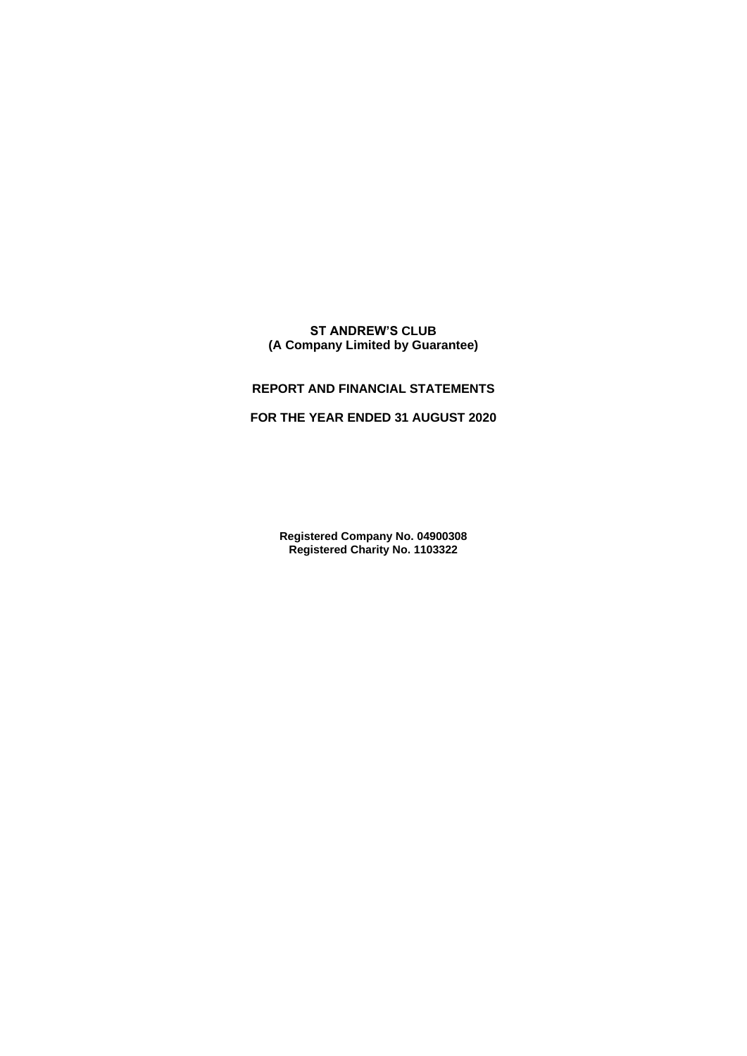# **ST ANDREW'S CLUB (A Company Limited by Guarantee)**

# **REPORT AND FINANCIAL STATEMENTS**

# **FOR THE YEAR ENDED 31 AUGUST 2020**

**Registered Company No. 04900308 Registered Charity No. 1103322**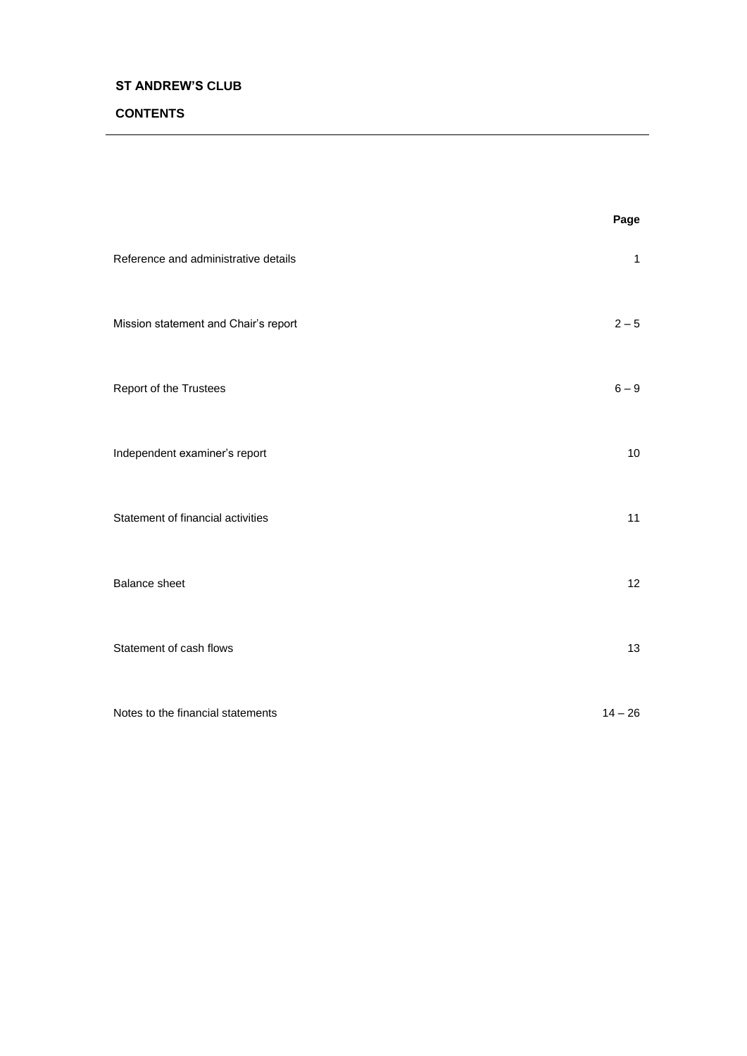# **CONTENTS**

|                                      | Page              |
|--------------------------------------|-------------------|
| Reference and administrative details | $\mathbf{1}$      |
| Mission statement and Chair's report | $2 - 5$           |
| Report of the Trustees               | $6 - 9$           |
| Independent examiner's report        | 10                |
| Statement of financial activities    | 11                |
| <b>Balance sheet</b>                 | $12 \overline{ }$ |
| Statement of cash flows              | 13                |
| Notes to the financial statements    | $14 - 26$         |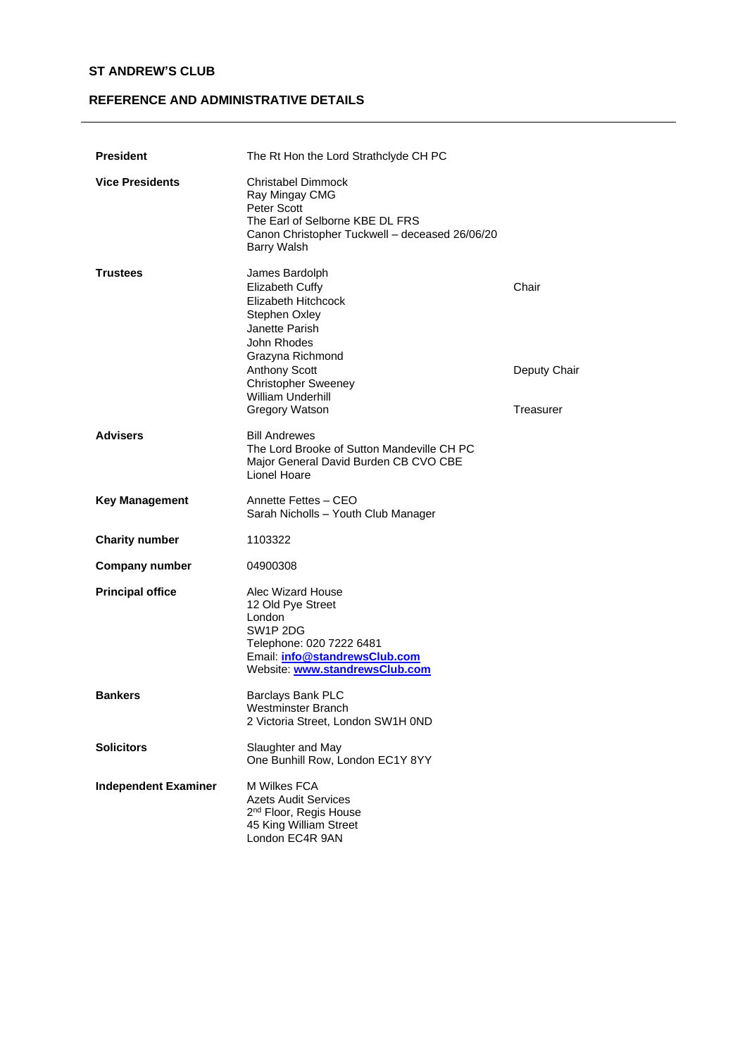# **REFERENCE AND ADMINISTRATIVE DETAILS**

| <b>President</b>            | The Rt Hon the Lord Strathclyde CH PC                                                                                                                                                                                              |                                    |
|-----------------------------|------------------------------------------------------------------------------------------------------------------------------------------------------------------------------------------------------------------------------------|------------------------------------|
| <b>Vice Presidents</b>      | Christabel Dimmock<br>Ray Mingay CMG<br>Peter Scott<br>The Earl of Selborne KBE DL FRS<br>Canon Christopher Tuckwell - deceased 26/06/20<br>Barry Walsh                                                                            |                                    |
| <b>Trustees</b>             | James Bardolph<br>Elizabeth Cuffy<br>Elizabeth Hitchcock<br>Stephen Oxley<br>Janette Parish<br>John Rhodes<br>Grazyna Richmond<br><b>Anthony Scott</b><br><b>Christopher Sweeney</b><br><b>William Underhill</b><br>Gregory Watson | Chair<br>Deputy Chair<br>Treasurer |
| <b>Advisers</b>             | <b>Bill Andrewes</b><br>The Lord Brooke of Sutton Mandeville CH PC<br>Major General David Burden CB CVO CBE<br>Lionel Hoare                                                                                                        |                                    |
| <b>Key Management</b>       | Annette Fettes - CEO<br>Sarah Nicholls - Youth Club Manager                                                                                                                                                                        |                                    |
| <b>Charity number</b>       | 1103322                                                                                                                                                                                                                            |                                    |
| <b>Company number</b>       | 04900308                                                                                                                                                                                                                           |                                    |
| <b>Principal office</b>     | Alec Wizard House<br>12 Old Pye Street<br>London<br>SW1P 2DG<br>Telephone: 020 7222 6481<br>Email: info@standrewsClub.com<br>Website: www.standrewsClub.com                                                                        |                                    |
| <b>Bankers</b>              | Barclays Bank PLC<br>Westminster Branch<br>2 Victoria Street, London SW1H 0ND                                                                                                                                                      |                                    |
| <b>Solicitors</b>           | Slaughter and May<br>One Bunhill Row, London EC1Y 8YY                                                                                                                                                                              |                                    |
| <b>Independent Examiner</b> | M Wilkes FCA<br><b>Azets Audit Services</b><br>2 <sup>nd</sup> Floor, Regis House<br>45 King William Street<br>London EC4R 9AN                                                                                                     |                                    |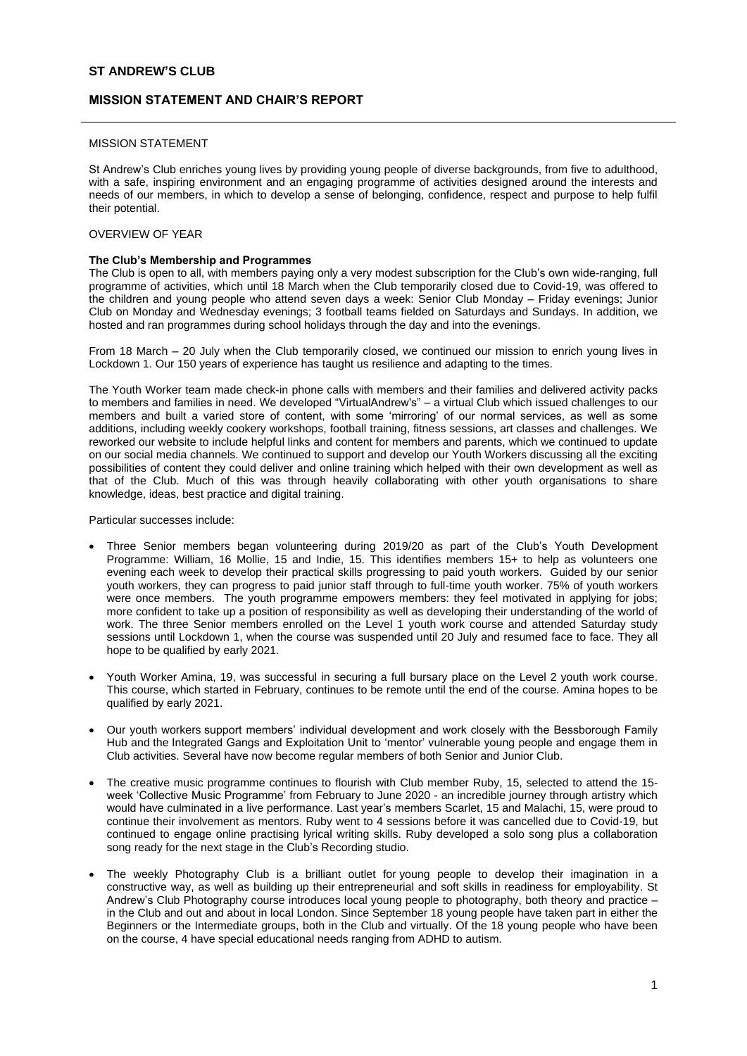# **MISSION STATEMENT AND CHAIR'S REPORT**

### MISSION STATEMENT

St Andrew's Club enriches young lives by providing young people of diverse backgrounds, from five to adulthood, with a safe, inspiring environment and an engaging programme of activities designed around the interests and needs of our members, in which to develop a sense of belonging, confidence, respect and purpose to help fulfil their potential.

### OVERVIEW OF YEAR

### **The Club's Membership and Programmes**

The Club is open to all, with members paying only a very modest subscription for the Club's own wide-ranging, full programme of activities, which until 18 March when the Club temporarily closed due to Covid-19, was offered to the children and young people who attend seven days a week: Senior Club Monday – Friday evenings; Junior Club on Monday and Wednesday evenings; 3 football teams fielded on Saturdays and Sundays. In addition, we hosted and ran programmes during school holidays through the day and into the evenings.

From 18 March – 20 July when the Club temporarily closed, we continued our mission to enrich young lives in Lockdown 1. Our 150 years of experience has taught us resilience and adapting to the times.

The Youth Worker team made check-in phone calls with members and their families and delivered activity packs to members and families in need. We developed "VirtualAndrew's" – a virtual Club which issued challenges to our members and built a varied store of content, with some 'mirroring' of our normal services, as well as some additions, including weekly cookery workshops, football training, fitness sessions, art classes and challenges. We reworked our website to include helpful links and content for members and parents, which we continued to update on our social media channels. We continued to support and develop our Youth Workers discussing all the exciting possibilities of content they could deliver and online training which helped with their own development as well as that of the Club. Much of this was through heavily collaborating with other youth organisations to share knowledge, ideas, best practice and digital training.

Particular successes include:

- Three Senior members began volunteering during 2019/20 as part of the Club's Youth Development Programme: William, 16 Mollie, 15 and Indie, 15. This identifies members 15+ to help as volunteers one evening each week to develop their practical skills progressing to paid youth workers. Guided by our senior youth workers, they can progress to paid junior staff through to full-time youth worker. 75% of youth workers were once members. The youth programme empowers members: they feel motivated in applying for jobs; more confident to take up a position of responsibility as well as developing their understanding of the world of work. The three Senior members enrolled on the Level 1 youth work course and attended Saturday study sessions until Lockdown 1, when the course was suspended until 20 July and resumed face to face. They all hope to be qualified by early 2021.
- Youth Worker Amina, 19, was successful in securing a full bursary place on the Level 2 youth work course. This course, which started in February, continues to be remote until the end of the course. Amina hopes to be qualified by early 2021.
- Our youth workers support members' individual development and work closely with the Bessborough Family Hub and the Integrated Gangs and Exploitation Unit to 'mentor' vulnerable young people and engage them in Club activities. Several have now become regular members of both Senior and Junior Club.
- The creative music programme continues to flourish with Club member Ruby, 15, selected to attend the 15 week 'Collective Music Programme' from February to June 2020 - an incredible journey through artistry which would have culminated in a live performance. Last year's members Scarlet, 15 and Malachi, 15, were proud to continue their involvement as mentors. Ruby went to 4 sessions before it was cancelled due to Covid-19, but continued to engage online practising lyrical writing skills. Ruby developed a solo song plus a collaboration song ready for the next stage in the Club's Recording studio.
- The weekly Photography Club is a brilliant outlet for young people to develop their imagination in a constructive way, as well as building up their entrepreneurial and soft skills in readiness for employability. St Andrew's Club Photography course introduces local young people to photography, both theory and practice – in the Club and out and about in local London. Since September 18 young people have taken part in either the Beginners or the Intermediate groups, both in the Club and virtually. Of the 18 young people who have been on the course, 4 have special educational needs ranging from ADHD to autism.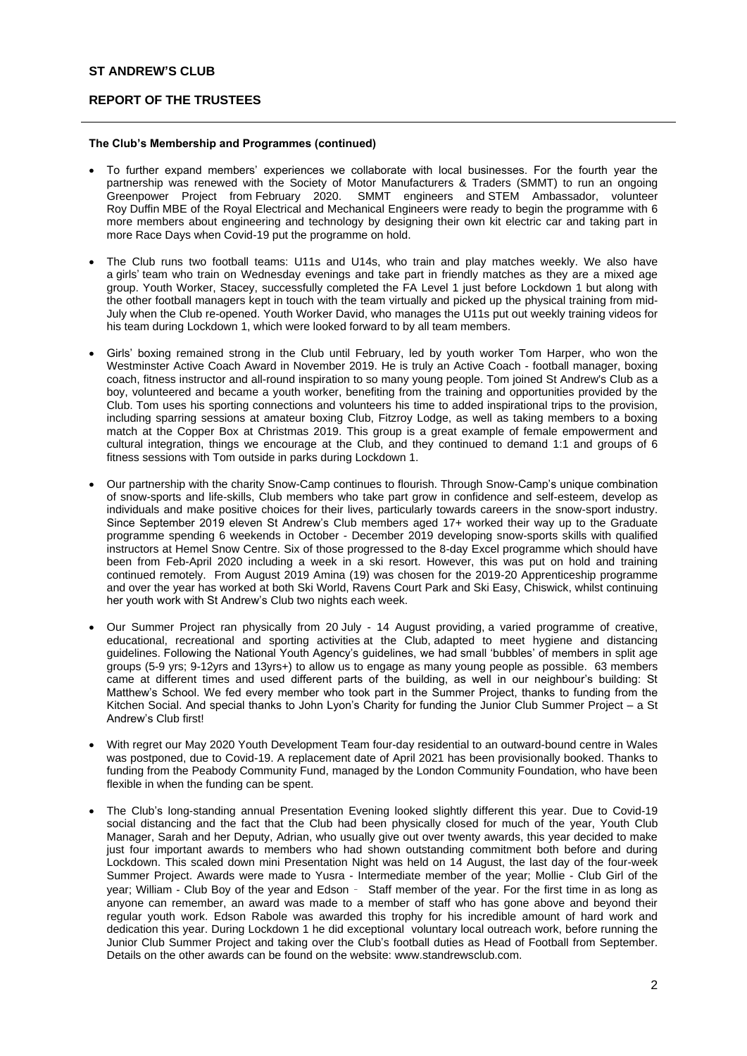# **REPORT OF THE TRUSTEES**

### **The Club's Membership and Programmes (continued)**

- To further expand members' experiences we collaborate with local businesses. For the fourth year the partnership was renewed with the Society of Motor Manufacturers & Traders (SMMT) to run an ongoing<br>Greenpower Project from February 2020. SMMT engineers and STEM Ambassador, volunteer SMMT engineers and STEM Ambassador, volunteer Roy Duffin MBE of the Royal Electrical and Mechanical Engineers were ready to begin the programme with 6 more members about engineering and technology by designing their own kit electric car and taking part in more Race Days when Covid-19 put the programme on hold.
- The Club runs two football teams: U11s and U14s, who train and play matches weekly. We also have a girls' team who train on Wednesday evenings and take part in friendly matches as they are a mixed age group. Youth Worker, Stacey, successfully completed the FA Level 1 just before Lockdown 1 but along with the other football managers kept in touch with the team virtually and picked up the physical training from mid-July when the Club re-opened. Youth Worker David, who manages the U11s put out weekly training videos for his team during Lockdown 1, which were looked forward to by all team members.
- Girls' boxing remained strong in the Club until February, led by youth worker Tom Harper, who won the Westminster Active Coach Award in November 2019. He is truly an Active Coach - football manager, boxing coach, fitness instructor and all-round inspiration to so many young people. Tom joined St Andrew's Club as a boy, volunteered and became a youth worker, benefiting from the training and opportunities provided by the Club. Tom uses his sporting connections and volunteers his time to added inspirational trips to the provision, including sparring sessions at amateur boxing Club, Fitzroy Lodge, as well as taking members to a boxing match at the Copper Box at Christmas 2019. This group is a great example of female empowerment and cultural integration, things we encourage at the Club, and they continued to demand 1:1 and groups of 6 fitness sessions with Tom outside in parks during Lockdown 1.
- Our partnership with the charity Snow-Camp continues to flourish. Through Snow-Camp's unique combination of snow-sports and life-skills, Club members who take part grow in confidence and self-esteem, develop as individuals and make positive choices for their lives, particularly towards careers in the snow-sport industry. Since September 2019 eleven St Andrew's Club members aged 17+ worked their way up to the Graduate programme spending 6 weekends in October - December 2019 developing snow-sports skills with qualified instructors at Hemel Snow Centre. Six of those progressed to the 8-day Excel programme which should have been from Feb-April 2020 including a week in a ski resort. However, this was put on hold and training continued remotely. From August 2019 Amina (19) was chosen for the 2019-20 Apprenticeship programme and over the year has worked at both Ski World, Ravens Court Park and Ski Easy, Chiswick, whilst continuing her youth work with St Andrew's Club two nights each week.
- Our Summer Project ran physically from 20 July 14 August providing, a varied programme of creative, educational, recreational and sporting activities at the Club, adapted to meet hygiene and distancing guidelines. Following the National Youth Agency's guidelines, we had small 'bubbles' of members in split age groups (5-9 yrs; 9-12yrs and 13yrs+) to allow us to engage as many young people as possible. 63 members came at different times and used different parts of the building, as well in our neighbour's building: St Matthew's School. We fed every member who took part in the Summer Project, thanks to funding from the Kitchen Social. And special thanks to John Lyon's Charity for funding the Junior Club Summer Project – a St Andrew's Club first!
- With regret our May 2020 Youth Development Team four-day residential to an outward-bound centre in Wales was postponed, due to Covid-19. A replacement date of April 2021 has been provisionally booked. Thanks to funding from the Peabody Community Fund, managed by the London Community Foundation, who have been flexible in when the funding can be spent.
- The Club's long-standing annual Presentation Evening looked slightly different this year. Due to Covid-19 social distancing and the fact that the Club had been physically closed for much of the year, Youth Club Manager, Sarah and her Deputy, Adrian, who usually give out over twenty awards, this year decided to make just four important awards to members who had shown outstanding commitment both before and during Lockdown. This scaled down mini Presentation Night was held on 14 August, the last day of the four-week Summer Project. Awards were made to Yusra - Intermediate member of the year; Mollie - Club Girl of the year; William - Club Boy of the year and Edson – Staff member of the year. For the first time in as long as anyone can remember, an award was made to a member of staff who has gone above and beyond their regular youth work. Edson Rabole was awarded this trophy for his incredible amount of hard work and dedication this year. During Lockdown 1 he did exceptional voluntary local outreach work, before running the Junior Club Summer Project and taking over the Club's football duties as Head of Football from September. Details on the other awards can be found on the website: www.standrewsclub.com.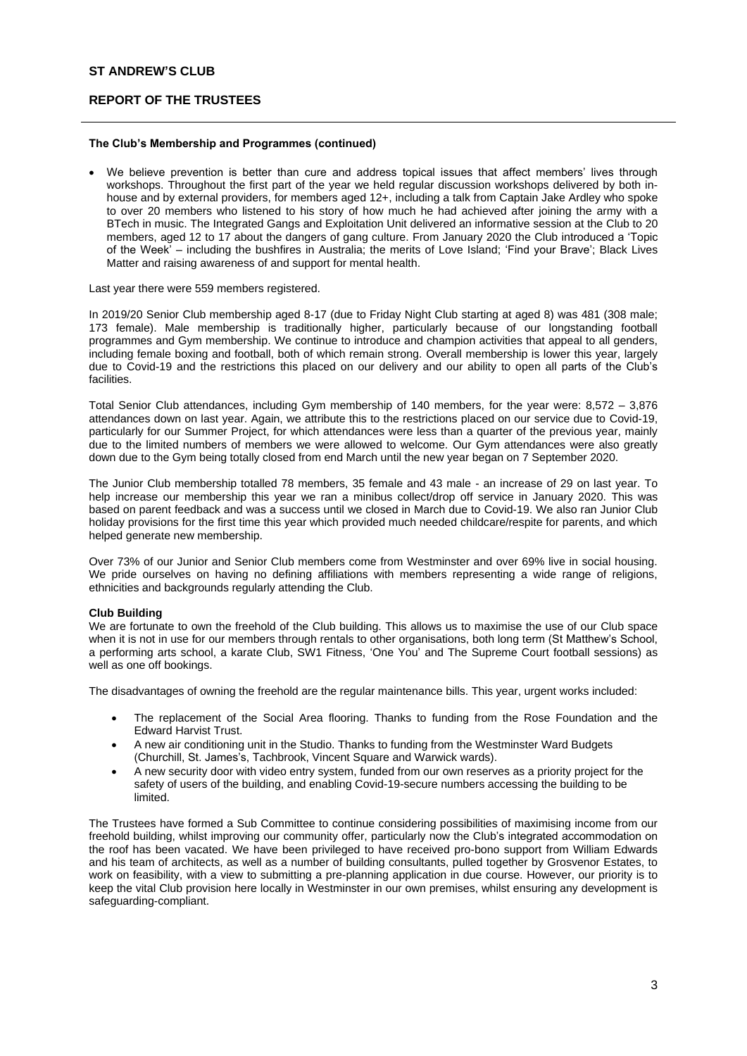# **REPORT OF THE TRUSTEES**

## **The Club's Membership and Programmes (continued)**

• We believe prevention is better than cure and address topical issues that affect members' lives through workshops. Throughout the first part of the year we held regular discussion workshops delivered by both inhouse and by external providers, for members aged 12+, including a talk from Captain Jake Ardley who spoke to over 20 members who listened to his story of how much he had achieved after joining the army with a BTech in music. The Integrated Gangs and Exploitation Unit delivered an informative session at the Club to 20 members, aged 12 to 17 about the dangers of gang culture. From January 2020 the Club introduced a 'Topic of the Week' – including the bushfires in Australia; the merits of Love Island; 'Find your Brave'; Black Lives Matter and raising awareness of and support for mental health.

Last year there were 559 members registered.

In 2019/20 Senior Club membership aged 8-17 (due to Friday Night Club starting at aged 8) was 481 (308 male; 173 female). Male membership is traditionally higher, particularly because of our longstanding football programmes and Gym membership. We continue to introduce and champion activities that appeal to all genders, including female boxing and football, both of which remain strong. Overall membership is lower this year, largely due to Covid-19 and the restrictions this placed on our delivery and our ability to open all parts of the Club's facilities.

Total Senior Club attendances, including Gym membership of 140 members, for the year were: 8,572 – 3,876 attendances down on last year. Again, we attribute this to the restrictions placed on our service due to Covid-19, particularly for our Summer Project, for which attendances were less than a quarter of the previous year, mainly due to the limited numbers of members we were allowed to welcome. Our Gym attendances were also greatly down due to the Gym being totally closed from end March until the new year began on 7 September 2020.

The Junior Club membership totalled 78 members, 35 female and 43 male - an increase of 29 on last year. To help increase our membership this year we ran a minibus collect/drop off service in January 2020. This was based on parent feedback and was a success until we closed in March due to Covid-19. We also ran Junior Club holiday provisions for the first time this year which provided much needed childcare/respite for parents, and which helped generate new membership.

Over 73% of our Junior and Senior Club members come from Westminster and over 69% live in social housing. We pride ourselves on having no defining affiliations with members representing a wide range of religions. ethnicities and backgrounds regularly attending the Club.

### **Club Building**

We are fortunate to own the freehold of the Club building. This allows us to maximise the use of our Club space when it is not in use for our members through rentals to other organisations, both long term (St Matthew's School, a performing arts school, a karate Club, SW1 Fitness, 'One You' and The Supreme Court football sessions) as well as one off bookings.

The disadvantages of owning the freehold are the regular maintenance bills. This year, urgent works included:

- The replacement of the Social Area flooring. Thanks to funding from the Rose Foundation and the Edward Harvist Trust.
- A new air conditioning unit in the Studio. Thanks to funding from the Westminster Ward Budgets (Churchill, St. James's, Tachbrook, Vincent Square and Warwick wards).
- A new security door with video entry system, funded from our own reserves as a priority project for the safety of users of the building, and enabling Covid-19-secure numbers accessing the building to be limited.

The Trustees have formed a Sub Committee to continue considering possibilities of maximising income from our freehold building, whilst improving our community offer, particularly now the Club's integrated accommodation on the roof has been vacated. We have been privileged to have received pro-bono support from William Edwards and his team of architects, as well as a number of building consultants, pulled together by Grosvenor Estates, to work on feasibility, with a view to submitting a pre-planning application in due course. However, our priority is to keep the vital Club provision here locally in Westminster in our own premises, whilst ensuring any development is safeguarding-compliant.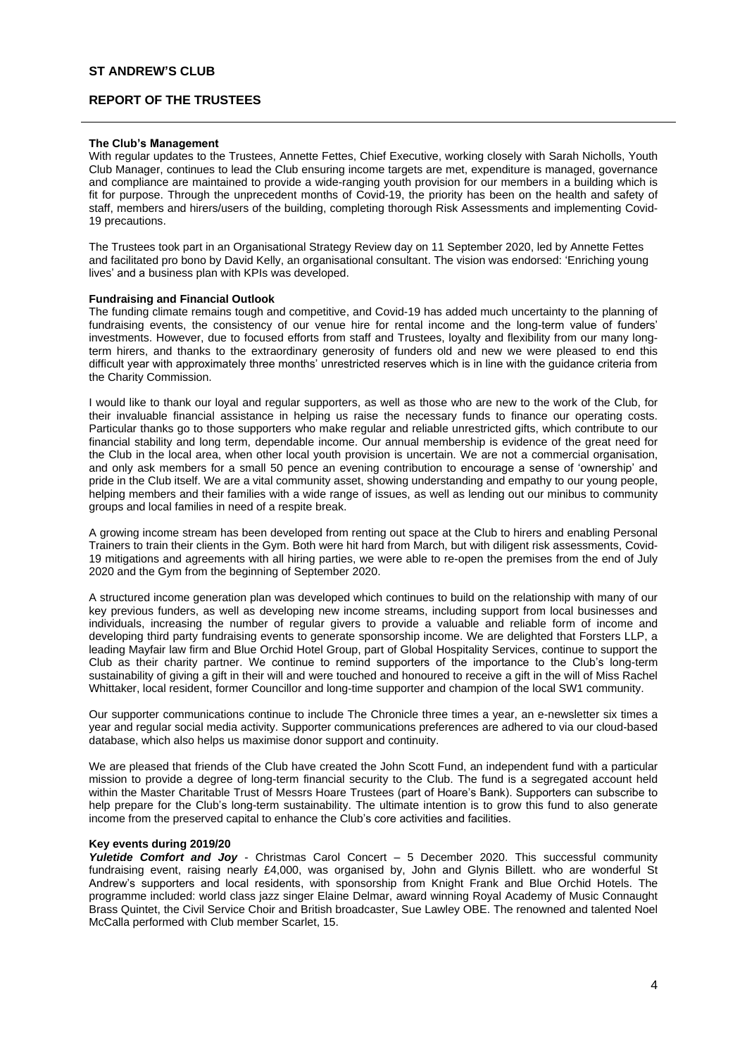# **REPORT OF THE TRUSTEES**

### **The Club's Management**

With regular updates to the Trustees, Annette Fettes, Chief Executive, working closely with Sarah Nicholls, Youth Club Manager, continues to lead the Club ensuring income targets are met, expenditure is managed, governance and compliance are maintained to provide a wide-ranging youth provision for our members in a building which is fit for purpose. Through the unprecedent months of Covid-19, the priority has been on the health and safety of staff, members and hirers/users of the building, completing thorough Risk Assessments and implementing Covid-19 precautions.

The Trustees took part in an Organisational Strategy Review day on 11 September 2020, led by Annette Fettes and facilitated pro bono by David Kelly, an organisational consultant. The vision was endorsed: 'Enriching young lives' and a business plan with KPIs was developed.

#### **Fundraising and Financial Outlook**

The funding climate remains tough and competitive, and Covid-19 has added much uncertainty to the planning of fundraising events, the consistency of our venue hire for rental income and the long-term value of funders' investments. However, due to focused efforts from staff and Trustees, loyalty and flexibility from our many longterm hirers, and thanks to the extraordinary generosity of funders old and new we were pleased to end this difficult year with approximately three months' unrestricted reserves which is in line with the guidance criteria from the Charity Commission.

I would like to thank our loyal and regular supporters, as well as those who are new to the work of the Club, for their invaluable financial assistance in helping us raise the necessary funds to finance our operating costs. Particular thanks go to those supporters who make regular and reliable unrestricted gifts, which contribute to our financial stability and long term, dependable income. Our annual membership is evidence of the great need for the Club in the local area, when other local youth provision is uncertain. We are not a commercial organisation, and only ask members for a small 50 pence an evening contribution to encourage a sense of 'ownership' and pride in the Club itself. We are a vital community asset, showing understanding and empathy to our young people, helping members and their families with a wide range of issues, as well as lending out our minibus to community groups and local families in need of a respite break.

A growing income stream has been developed from renting out space at the Club to hirers and enabling Personal Trainers to train their clients in the Gym. Both were hit hard from March, but with diligent risk assessments, Covid-19 mitigations and agreements with all hiring parties, we were able to re-open the premises from the end of July 2020 and the Gym from the beginning of September 2020.

A structured income generation plan was developed which continues to build on the relationship with many of our key previous funders, as well as developing new income streams, including support from local businesses and individuals, increasing the number of regular givers to provide a valuable and reliable form of income and developing third party fundraising events to generate sponsorship income. We are delighted that Forsters LLP, a leading Mayfair law firm and Blue Orchid Hotel Group, part of Global Hospitality Services, continue to support the Club as their charity partner. We continue to remind supporters of the importance to the Club's long-term sustainability of giving a gift in their will and were touched and honoured to receive a gift in the will of Miss Rachel Whittaker, local resident, former Councillor and long-time supporter and champion of the local SW1 community.

Our supporter communications continue to include The Chronicle three times a year, an e-newsletter six times a year and regular social media activity. Supporter communications preferences are adhered to via our cloud-based database, which also helps us maximise donor support and continuity.

We are pleased that friends of the Club have created the John Scott Fund, an independent fund with a particular mission to provide a degree of long-term financial security to the Club. The fund is a segregated account held within the Master Charitable Trust of Messrs Hoare Trustees (part of Hoare's Bank). Supporters can subscribe to help prepare for the Club's long-term sustainability. The ultimate intention is to grow this fund to also generate income from the preserved capital to enhance the Club's core activities and facilities.

#### **Key events during 2019/20**

*Yuletide Comfort and Joy* - Christmas Carol Concert – 5 December 2020. This successful community fundraising event, raising nearly £4,000, was organised by, John and Glynis Billett. who are wonderful St Andrew's supporters and local residents, with sponsorship from Knight Frank and Blue Orchid Hotels. The programme included: world class jazz singer Elaine Delmar, award winning Royal Academy of Music Connaught Brass Quintet, the Civil Service Choir and British broadcaster, Sue Lawley OBE. The renowned and talented Noel McCalla performed with Club member Scarlet, 15.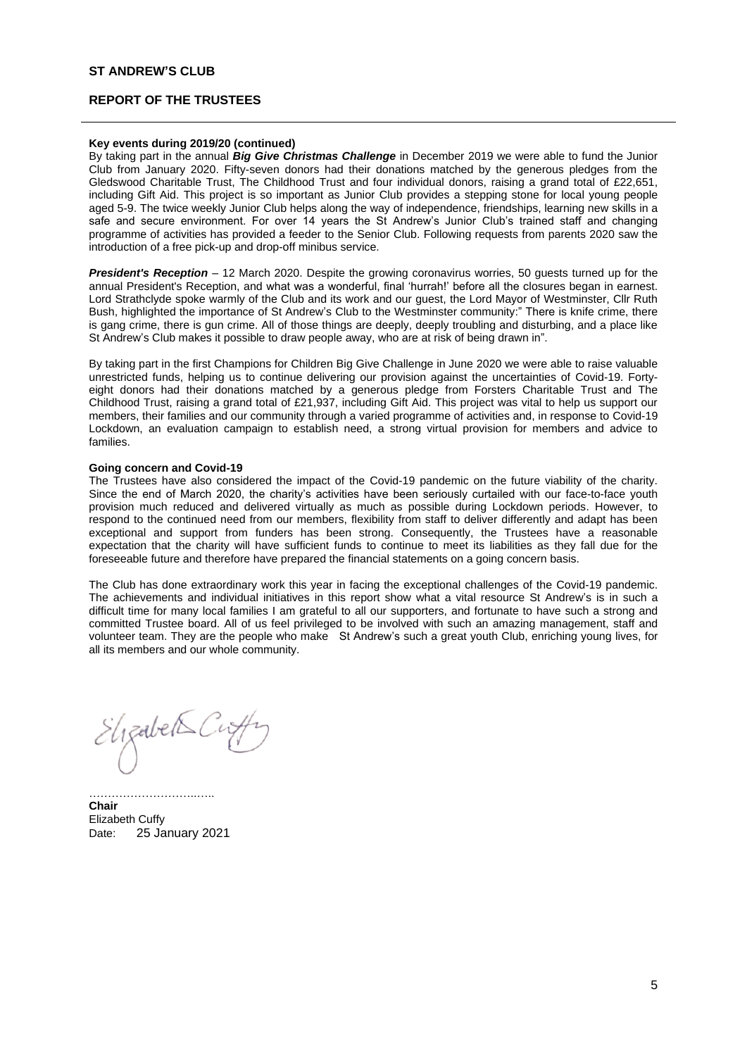## **REPORT OF THE TRUSTEES**

## **Key events during 2019/20 (continued)**

By taking part in the annual *Big Give Christmas Challenge* in December 2019 we were able to fund the Junior Club from January 2020. Fifty-seven donors had their donations matched by the generous pledges from the Gledswood Charitable Trust, The Childhood Trust and four individual donors, raising a grand total of £22,651, including Gift Aid. This project is so important as Junior Club provides a stepping stone for local young people aged 5-9. The twice weekly Junior Club helps along the way of independence, friendships, learning new skills in a safe and secure environment. For over 14 years the St Andrew's Junior Club's trained staff and changing programme of activities has provided a feeder to the Senior Club. Following requests from parents 2020 saw the introduction of a free pick-up and drop-off minibus service.

*President's Reception* – 12 March 2020. Despite the growing coronavirus worries, 50 guests turned up for the annual President's Reception, and what was a wonderful, final 'hurrah!' before all the closures began in earnest. Lord Strathclyde spoke warmly of the Club and its work and our guest, the Lord Mayor of Westminster, Cllr Ruth Bush, highlighted the importance of St Andrew's Club to the Westminster community:" There is knife crime, there is gang crime, there is gun crime. All of those things are deeply, deeply troubling and disturbing, and a place like St Andrew's Club makes it possible to draw people away, who are at risk of being drawn in".

By taking part in the first Champions for Children Big Give Challenge in June 2020 we were able to raise valuable unrestricted funds, helping us to continue delivering our provision against the uncertainties of Covid-19. Fortyeight donors had their donations matched by a generous pledge from Forsters Charitable Trust and The Childhood Trust, raising a grand total of £21,937, including Gift Aid. This project was vital to help us support our members, their families and our community through a varied programme of activities and, in response to Covid-19 Lockdown, an evaluation campaign to establish need, a strong virtual provision for members and advice to families.

#### **Going concern and Covid-19**

The Trustees have also considered the impact of the Covid-19 pandemic on the future viability of the charity. Since the end of March 2020, the charity's activities have been seriously curtailed with our face-to-face youth provision much reduced and delivered virtually as much as possible during Lockdown periods. However, to respond to the continued need from our members, flexibility from staff to deliver differently and adapt has been exceptional and support from funders has been strong. Consequently, the Trustees have a reasonable expectation that the charity will have sufficient funds to continue to meet its liabilities as they fall due for the foreseeable future and therefore have prepared the financial statements on a going concern basis.

The Club has done extraordinary work this year in facing the exceptional challenges of the Covid-19 pandemic. The achievements and individual initiatives in this report show what a vital resource St Andrew's is in such a difficult time for many local families I am grateful to all our supporters, and fortunate to have such a strong and committed Trustee board. All of us feel privileged to be involved with such an amazing management, staff and volunteer team. They are the people who make St Andrew's such a great youth Club, enriching young lives, for all its members and our whole community.

 $E$ ligabet $\leq$ Ci

………………………..….. **Chair** Elizabeth Cuffy Date: 25 January 2021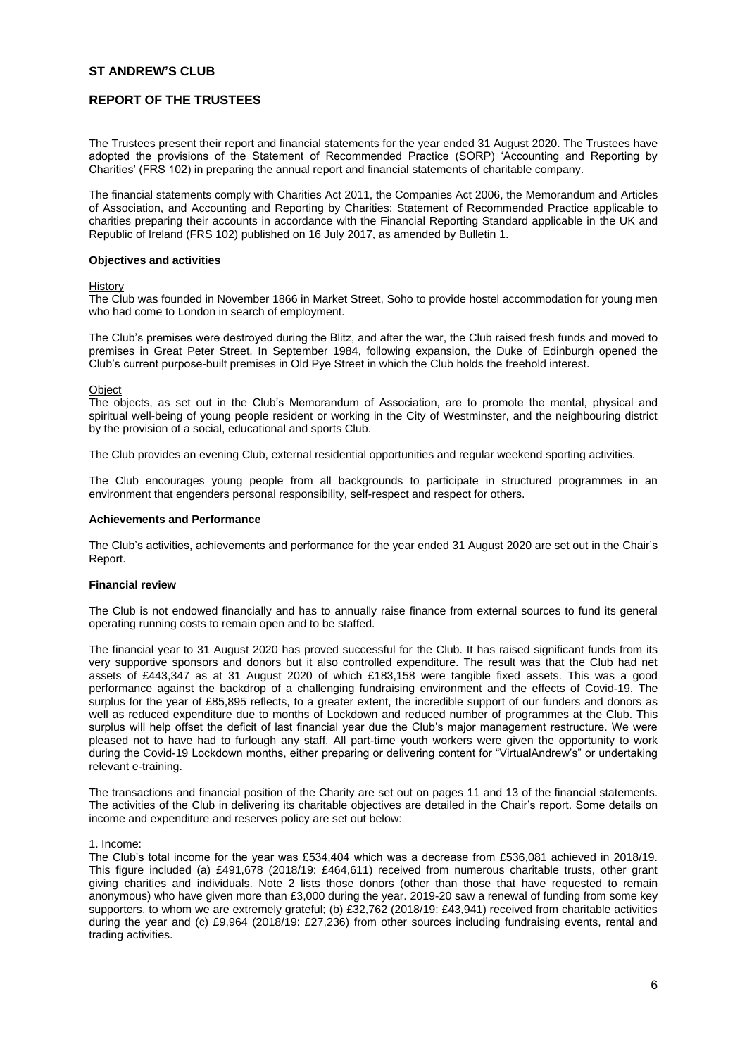## **REPORT OF THE TRUSTEES**

The Trustees present their report and financial statements for the year ended 31 August 2020. The Trustees have adopted the provisions of the Statement of Recommended Practice (SORP) 'Accounting and Reporting by Charities' (FRS 102) in preparing the annual report and financial statements of charitable company.

The financial statements comply with Charities Act 2011, the Companies Act 2006, the Memorandum and Articles of Association, and Accounting and Reporting by Charities: Statement of Recommended Practice applicable to charities preparing their accounts in accordance with the Financial Reporting Standard applicable in the UK and Republic of Ireland (FRS 102) published on 16 July 2017, as amended by Bulletin 1.

#### **Objectives and activities**

#### **History**

The Club was founded in November 1866 in Market Street, Soho to provide hostel accommodation for young men who had come to London in search of employment.

The Club's premises were destroyed during the Blitz, and after the war, the Club raised fresh funds and moved to premises in Great Peter Street. In September 1984, following expansion, the Duke of Edinburgh opened the Club's current purpose-built premises in Old Pye Street in which the Club holds the freehold interest.

#### Object

The objects, as set out in the Club's Memorandum of Association, are to promote the mental, physical and spiritual well-being of young people resident or working in the City of Westminster, and the neighbouring district by the provision of a social, educational and sports Club.

The Club provides an evening Club, external residential opportunities and regular weekend sporting activities.

The Club encourages young people from all backgrounds to participate in structured programmes in an environment that engenders personal responsibility, self-respect and respect for others.

#### **Achievements and Performance**

The Club's activities, achievements and performance for the year ended 31 August 2020 are set out in the Chair's Report.

### **Financial review**

The Club is not endowed financially and has to annually raise finance from external sources to fund its general operating running costs to remain open and to be staffed.

The financial year to 31 August 2020 has proved successful for the Club. It has raised significant funds from its very supportive sponsors and donors but it also controlled expenditure. The result was that the Club had net assets of £443,347 as at 31 August 2020 of which £183,158 were tangible fixed assets. This was a good performance against the backdrop of a challenging fundraising environment and the effects of Covid-19. The surplus for the year of £85,895 reflects, to a greater extent, the incredible support of our funders and donors as well as reduced expenditure due to months of Lockdown and reduced number of programmes at the Club. This surplus will help offset the deficit of last financial year due the Club's major management restructure. We were pleased not to have had to furlough any staff. All part-time youth workers were given the opportunity to work during the Covid-19 Lockdown months, either preparing or delivering content for "VirtualAndrew's" or undertaking relevant e-training.

The transactions and financial position of the Charity are set out on pages 11 and 13 of the financial statements. The activities of the Club in delivering its charitable objectives are detailed in the Chair's report. Some details on income and expenditure and reserves policy are set out below:

### 1. Income:

The Club's total income for the year was £534,404 which was a decrease from £536,081 achieved in 2018/19. This figure included (a) £491,678 (2018/19: £464,611) received from numerous charitable trusts, other grant giving charities and individuals. Note 2 lists those donors (other than those that have requested to remain anonymous) who have given more than £3,000 during the year. 2019-20 saw a renewal of funding from some key supporters, to whom we are extremely grateful; (b) £32,762 (2018/19: £43,941) received from charitable activities during the year and (c) £9,964 (2018/19: £27,236) from other sources including fundraising events, rental and trading activities.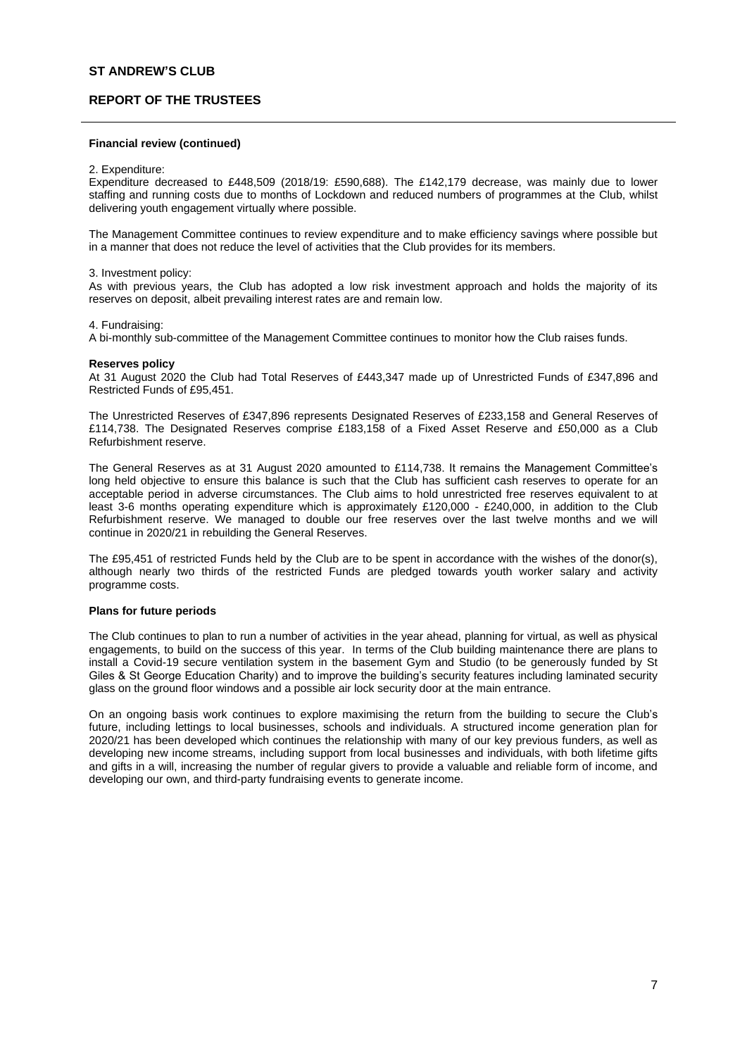# **REPORT OF THE TRUSTEES**

### **Financial review (continued)**

#### 2. Expenditure:

Expenditure decreased to £448,509 (2018/19: £590,688). The £142,179 decrease, was mainly due to lower staffing and running costs due to months of Lockdown and reduced numbers of programmes at the Club, whilst delivering youth engagement virtually where possible.

The Management Committee continues to review expenditure and to make efficiency savings where possible but in a manner that does not reduce the level of activities that the Club provides for its members.

#### 3. Investment policy:

As with previous years, the Club has adopted a low risk investment approach and holds the majority of its reserves on deposit, albeit prevailing interest rates are and remain low.

### 4. Fundraising:

A bi-monthly sub-committee of the Management Committee continues to monitor how the Club raises funds.

#### **Reserves policy**

At 31 August 2020 the Club had Total Reserves of £443,347 made up of Unrestricted Funds of £347,896 and Restricted Funds of £95,451.

The Unrestricted Reserves of £347,896 represents Designated Reserves of £233,158 and General Reserves of £114,738. The Designated Reserves comprise £183,158 of a Fixed Asset Reserve and £50,000 as a Club Refurbishment reserve.

The General Reserves as at 31 August 2020 amounted to £114,738. It remains the Management Committee's long held objective to ensure this balance is such that the Club has sufficient cash reserves to operate for an acceptable period in adverse circumstances. The Club aims to hold unrestricted free reserves equivalent to at least 3-6 months operating expenditure which is approximately £120,000 - £240,000, in addition to the Club Refurbishment reserve. We managed to double our free reserves over the last twelve months and we will continue in 2020/21 in rebuilding the General Reserves.

The £95,451 of restricted Funds held by the Club are to be spent in accordance with the wishes of the donor(s), although nearly two thirds of the restricted Funds are pledged towards youth worker salary and activity programme costs.

## **Plans for future periods**

The Club continues to plan to run a number of activities in the year ahead, planning for virtual, as well as physical engagements, to build on the success of this year. In terms of the Club building maintenance there are plans to install a Covid-19 secure ventilation system in the basement Gym and Studio (to be generously funded by St Giles & St George Education Charity) and to improve the building's security features including laminated security glass on the ground floor windows and a possible air lock security door at the main entrance.

On an ongoing basis work continues to explore maximising the return from the building to secure the Club's future, including lettings to local businesses, schools and individuals. A structured income generation plan for 2020/21 has been developed which continues the relationship with many of our key previous funders, as well as developing new income streams, including support from local businesses and individuals, with both lifetime gifts and gifts in a will, increasing the number of regular givers to provide a valuable and reliable form of income, and developing our own, and third-party fundraising events to generate income.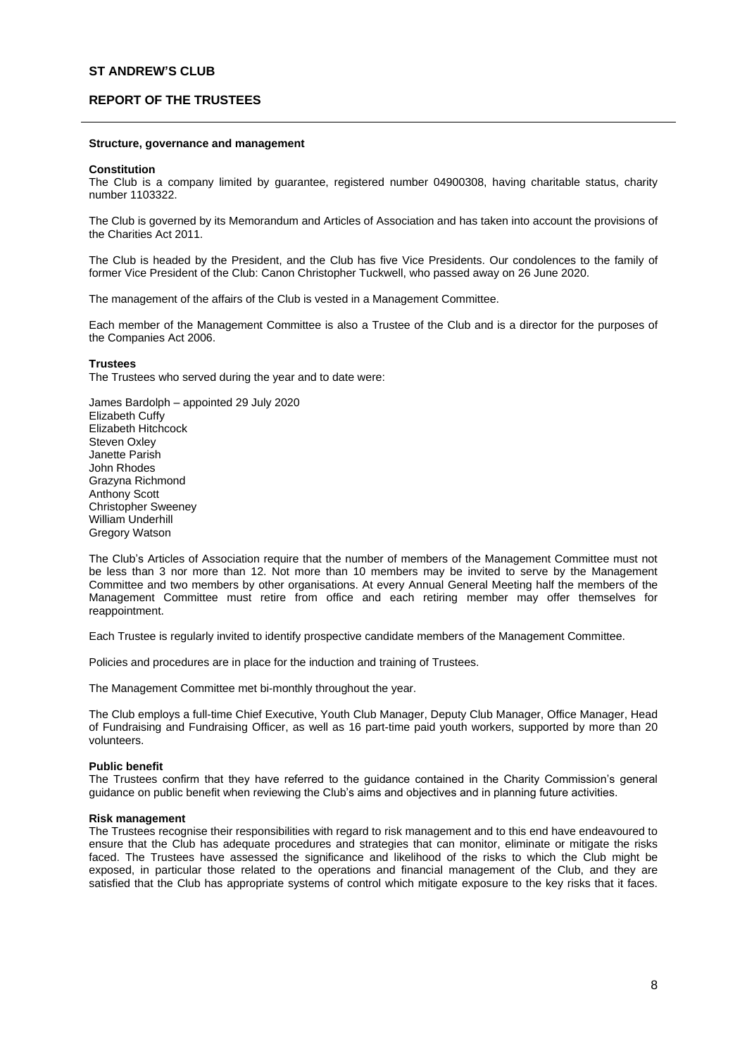# **REPORT OF THE TRUSTEES**

#### **Structure, governance and management**

#### **Constitution**

The Club is a company limited by guarantee, registered number 04900308, having charitable status, charity number 1103322.

The Club is governed by its Memorandum and Articles of Association and has taken into account the provisions of the Charities Act 2011.

The Club is headed by the President, and the Club has five Vice Presidents. Our condolences to the family of former Vice President of the Club: Canon Christopher Tuckwell, who passed away on 26 June 2020.

The management of the affairs of the Club is vested in a Management Committee.

Each member of the Management Committee is also a Trustee of the Club and is a director for the purposes of the Companies Act 2006.

#### **Trustees**

The Trustees who served during the year and to date were:

James Bardolph – appointed 29 July 2020 Elizabeth Cuffy Elizabeth Hitchcock Steven Oxley Janette Parish John Rhodes Grazyna Richmond Anthony Scott Christopher Sweeney William Underhill Gregory Watson

The Club's Articles of Association require that the number of members of the Management Committee must not be less than 3 nor more than 12. Not more than 10 members may be invited to serve by the Management Committee and two members by other organisations. At every Annual General Meeting half the members of the Management Committee must retire from office and each retiring member may offer themselves for reappointment.

Each Trustee is regularly invited to identify prospective candidate members of the Management Committee.

Policies and procedures are in place for the induction and training of Trustees.

The Management Committee met bi-monthly throughout the year.

The Club employs a full-time Chief Executive, Youth Club Manager, Deputy Club Manager, Office Manager, Head of Fundraising and Fundraising Officer, as well as 16 part-time paid youth workers, supported by more than 20 volunteers.

### **Public benefit**

The Trustees confirm that they have referred to the guidance contained in the Charity Commission's general guidance on public benefit when reviewing the Club's aims and objectives and in planning future activities.

### **Risk management**

The Trustees recognise their responsibilities with regard to risk management and to this end have endeavoured to ensure that the Club has adequate procedures and strategies that can monitor, eliminate or mitigate the risks faced. The Trustees have assessed the significance and likelihood of the risks to which the Club might be exposed, in particular those related to the operations and financial management of the Club, and they are satisfied that the Club has appropriate systems of control which mitigate exposure to the key risks that it faces.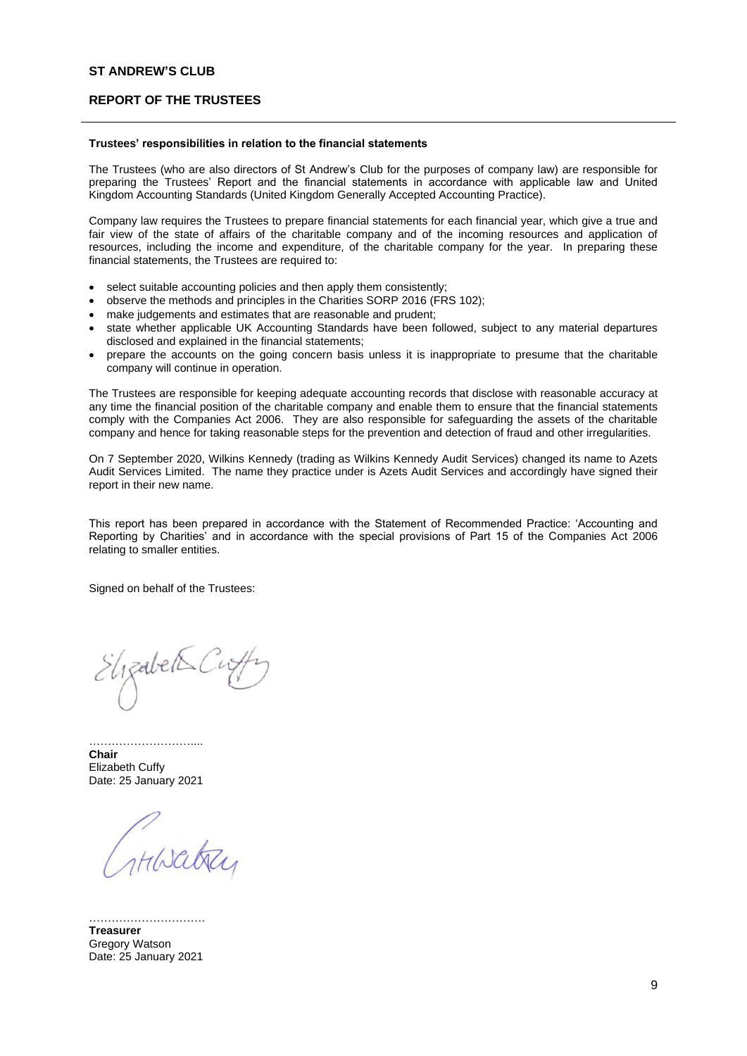## **REPORT OF THE TRUSTEES**

#### **Trustees' responsibilities in relation to the financial statements**

The Trustees (who are also directors of St Andrew's Club for the purposes of company law) are responsible for preparing the Trustees' Report and the financial statements in accordance with applicable law and United Kingdom Accounting Standards (United Kingdom Generally Accepted Accounting Practice).

Company law requires the Trustees to prepare financial statements for each financial year, which give a true and fair view of the state of affairs of the charitable company and of the incoming resources and application of resources, including the income and expenditure, of the charitable company for the year. In preparing these financial statements, the Trustees are required to:

- select suitable accounting policies and then apply them consistently;
- observe the methods and principles in the Charities SORP 2016 (FRS 102);
- make judgements and estimates that are reasonable and prudent;
- state whether applicable UK Accounting Standards have been followed, subject to any material departures disclosed and explained in the financial statements;
- prepare the accounts on the going concern basis unless it is inappropriate to presume that the charitable company will continue in operation.

The Trustees are responsible for keeping adequate accounting records that disclose with reasonable accuracy at any time the financial position of the charitable company and enable them to ensure that the financial statements comply with the Companies Act 2006. They are also responsible for safeguarding the assets of the charitable company and hence for taking reasonable steps for the prevention and detection of fraud and other irregularities.

On 7 September 2020, Wilkins Kennedy (trading as Wilkins Kennedy Audit Services) changed its name to Azets Audit Services Limited. The name they practice under is Azets Audit Services and accordingly have signed their report in their new name.

This report has been prepared in accordance with the Statement of Recommended Practice: 'Accounting and Reporting by Charities' and in accordance with the special provisions of Part 15 of the Companies Act 2006 relating to smaller entities.

Signed on behalf of the Trustees:

Elizabet Sci

**Chair**  Elizabeth Cuffy Date: 25 January 2021

……………………………

THISatter

…………………………. **Treasurer** Gregory Watson Date: 25 January 2021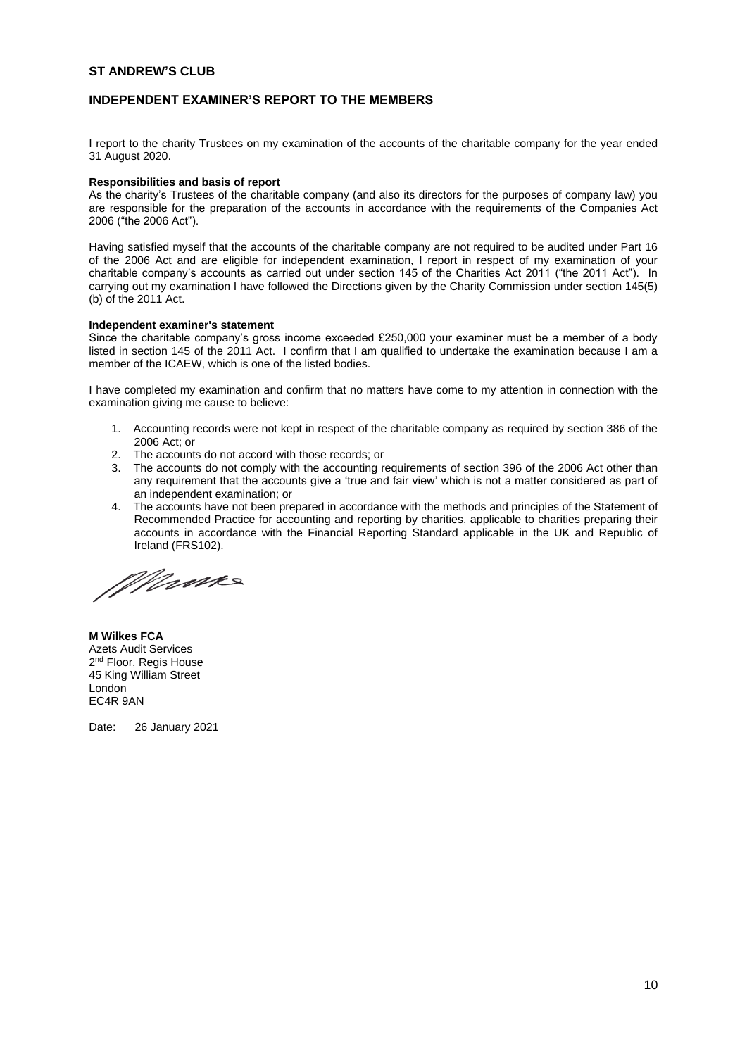# **INDEPENDENT EXAMINER'S REPORT TO THE MEMBERS**

I report to the charity Trustees on my examination of the accounts of the charitable company for the year ended 31 August 2020.

### **Responsibilities and basis of report**

As the charity's Trustees of the charitable company (and also its directors for the purposes of company law) you are responsible for the preparation of the accounts in accordance with the requirements of the Companies Act 2006 ("the 2006 Act").

Having satisfied myself that the accounts of the charitable company are not required to be audited under Part 16 of the 2006 Act and are eligible for independent examination, I report in respect of my examination of your charitable company's accounts as carried out under section 145 of the Charities Act 2011 ("the 2011 Act"). In carrying out my examination I have followed the Directions given by the Charity Commission under section 145(5) (b) of the 2011 Act.

### **Independent examiner's statement**

Since the charitable company's gross income exceeded £250,000 your examiner must be a member of a body listed in section 145 of the 2011 Act. I confirm that I am qualified to undertake the examination because I am a member of the ICAEW, which is one of the listed bodies.

I have completed my examination and confirm that no matters have come to my attention in connection with the examination giving me cause to believe:

- 1. Accounting records were not kept in respect of the charitable company as required by section 386 of the 2006 Act; or
- 2. The accounts do not accord with those records; or
- 3. The accounts do not comply with the accounting requirements of section 396 of the 2006 Act other than any requirement that the accounts give a 'true and fair view' which is not a matter considered as part of an independent examination; or
- 4. The accounts have not been prepared in accordance with the methods and principles of the Statement of Recommended Practice for accounting and reporting by charities, applicable to charities preparing their accounts in accordance with the Financial Reporting Standard applicable in the UK and Republic of Ireland (FRS102).

Mane

**M Wilkes FCA** Azets Audit Services 2<sup>nd</sup> Floor, Regis House 45 King William Street London EC4R 9AN

Date: 26 January 2021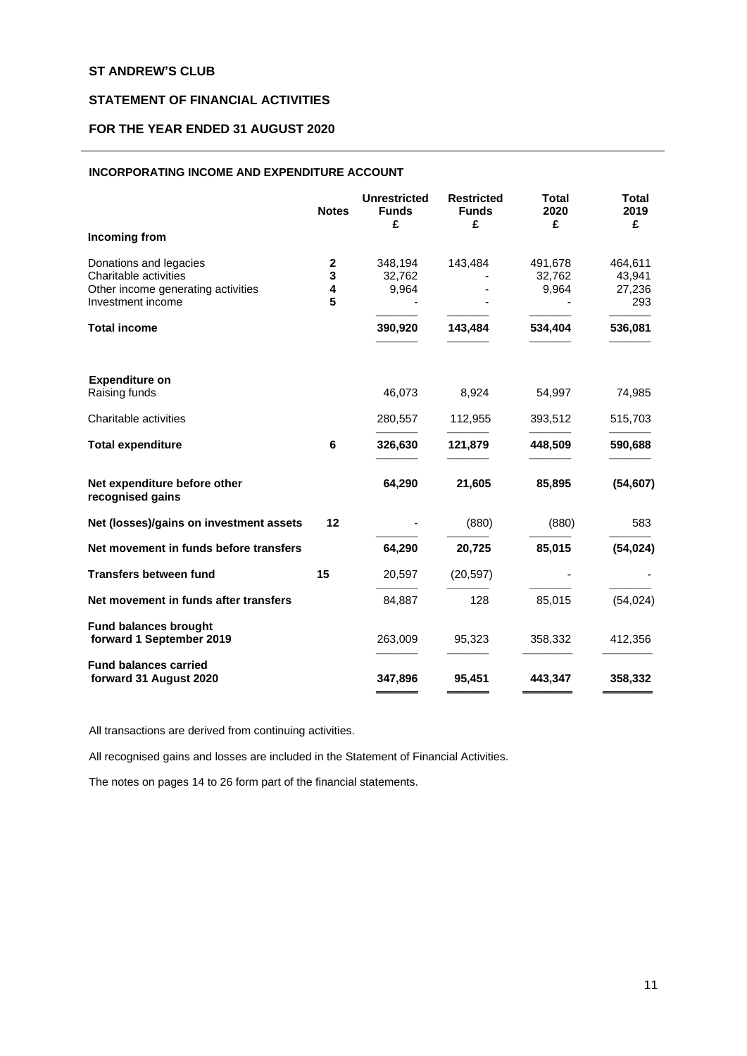# **STATEMENT OF FINANCIAL ACTIVITIES**

# **FOR THE YEAR ENDED 31 AUGUST 2020**

## **INCORPORATING INCOME AND EXPENDITURE ACCOUNT**

|                                                                                                            | <b>Notes</b>               | <b>Unrestricted</b><br><b>Funds</b><br>£ | <b>Restricted</b><br><b>Funds</b><br>£ | <b>Total</b><br>2020<br>£  | Total<br>2019<br>£                 |
|------------------------------------------------------------------------------------------------------------|----------------------------|------------------------------------------|----------------------------------------|----------------------------|------------------------------------|
| Incoming from                                                                                              |                            |                                          |                                        |                            |                                    |
| Donations and legacies<br>Charitable activities<br>Other income generating activities<br>Investment income | $\mathbf 2$<br>3<br>4<br>5 | 348,194<br>32,762<br>9,964               | 143,484                                | 491,678<br>32,762<br>9,964 | 464,611<br>43,941<br>27,236<br>293 |
| <b>Total income</b>                                                                                        |                            | 390,920                                  | 143,484                                | 534,404                    | 536,081                            |
| <b>Expenditure on</b><br>Raising funds                                                                     |                            | 46,073                                   | 8,924                                  | 54,997                     | 74,985                             |
| Charitable activities                                                                                      |                            | 280,557                                  | 112,955                                | 393,512                    | 515,703                            |
| <b>Total expenditure</b>                                                                                   | 6                          | 326,630                                  | 121,879                                | 448,509                    | 590,688                            |
| Net expenditure before other<br>recognised gains                                                           |                            | 64,290                                   | 21,605                                 | 85,895                     | (54, 607)                          |
| Net (losses)/gains on investment assets                                                                    | 12                         |                                          | (880)                                  | (880)                      | 583                                |
| Net movement in funds before transfers                                                                     |                            | 64,290                                   | 20,725                                 | 85,015                     | (54, 024)                          |
| <b>Transfers between fund</b>                                                                              | 15                         | 20,597                                   | (20, 597)                              |                            |                                    |
| Net movement in funds after transfers                                                                      |                            | 84,887                                   | 128                                    | 85,015                     | (54, 024)                          |
| <b>Fund balances brought</b><br>forward 1 September 2019                                                   |                            | 263,009                                  | 95,323                                 | 358,332                    | 412,356                            |
| <b>Fund balances carried</b><br>forward 31 August 2020                                                     |                            | 347,896                                  | 95,451                                 | 443,347                    | 358,332                            |

All transactions are derived from continuing activities.

All recognised gains and losses are included in the Statement of Financial Activities.

The notes on pages 14 to 26 form part of the financial statements.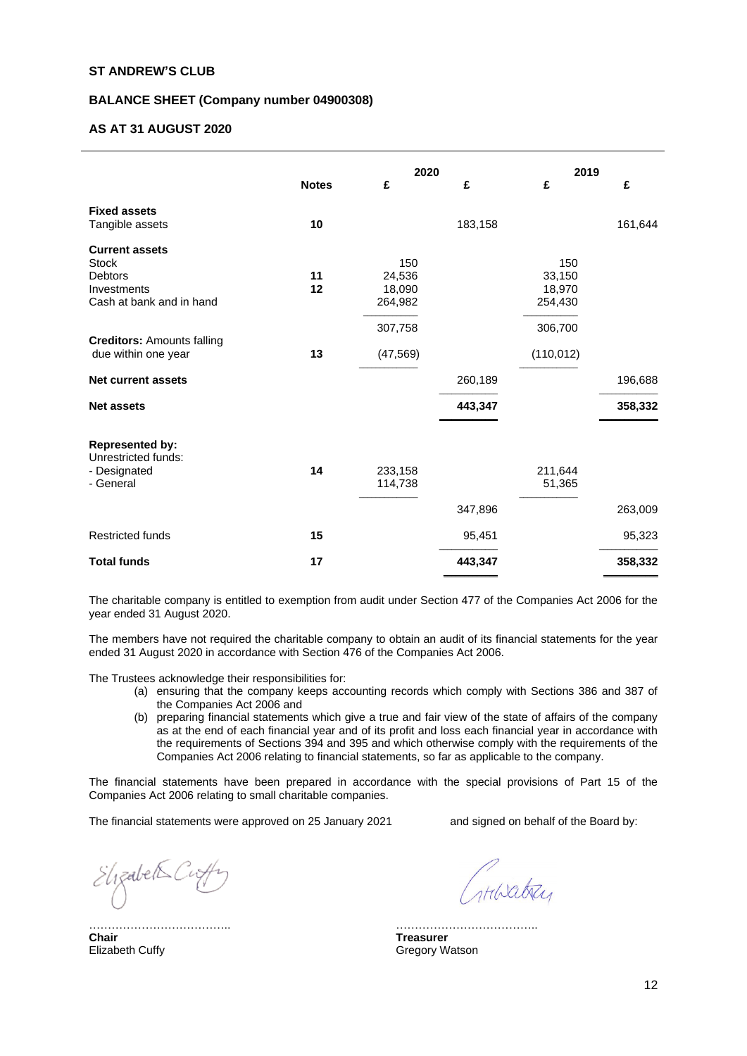## **BALANCE SHEET (Company number 04900308)**

## **AS AT 31 AUGUST 2020**

|                                                                                                    |              | 2020                               |         | 2019                               |         |
|----------------------------------------------------------------------------------------------------|--------------|------------------------------------|---------|------------------------------------|---------|
|                                                                                                    | <b>Notes</b> | £                                  | £       | £                                  | £       |
| <b>Fixed assets</b><br>Tangible assets                                                             | 10           |                                    | 183,158 |                                    | 161,644 |
| <b>Current assets</b><br><b>Stock</b><br><b>Debtors</b><br>Investments<br>Cash at bank and in hand | 11<br>12     | 150<br>24,536<br>18,090<br>264,982 |         | 150<br>33,150<br>18,970<br>254,430 |         |
| <b>Creditors: Amounts falling</b><br>due within one year                                           | 13           | 307,758<br>(47, 569)               |         | 306,700<br>(110, 012)              |         |
| <b>Net current assets</b>                                                                          |              |                                    | 260,189 |                                    | 196,688 |
| <b>Net assets</b>                                                                                  |              |                                    | 443,347 |                                    | 358,332 |
| <b>Represented by:</b><br>Unrestricted funds:<br>- Designated<br>- General                         | 14           | 233,158<br>114,738                 |         | 211,644<br>51,365                  |         |
|                                                                                                    |              |                                    | 347,896 |                                    | 263,009 |
| <b>Restricted funds</b>                                                                            | 15           |                                    | 95,451  |                                    | 95,323  |
| <b>Total funds</b>                                                                                 | 17           |                                    | 443,347 |                                    | 358,332 |

The charitable company is entitled to exemption from audit under Section 477 of the Companies Act 2006 for the year ended 31 August 2020.

The members have not required the charitable company to obtain an audit of its financial statements for the year ended 31 August 2020 in accordance with Section 476 of the Companies Act 2006.

The Trustees acknowledge their responsibilities for:

- (a) ensuring that the company keeps accounting records which comply with Sections 386 and 387 of the Companies Act 2006 and
- (b) preparing financial statements which give a true and fair view of the state of affairs of the company as at the end of each financial year and of its profit and loss each financial year in accordance with the requirements of Sections 394 and 395 and which otherwise comply with the requirements of the Companies Act 2006 relating to financial statements, so far as applicable to the company.

The financial statements have been prepared in accordance with the special provisions of Part 15 of the Companies Act 2006 relating to small charitable companies.

The financial statements were approved on 25 January 2021 and signed on behalf of the Board by:

Elizabet Cuffy

………………………………..

Horatry

……………………………………… **Treasurer** Gregory Watson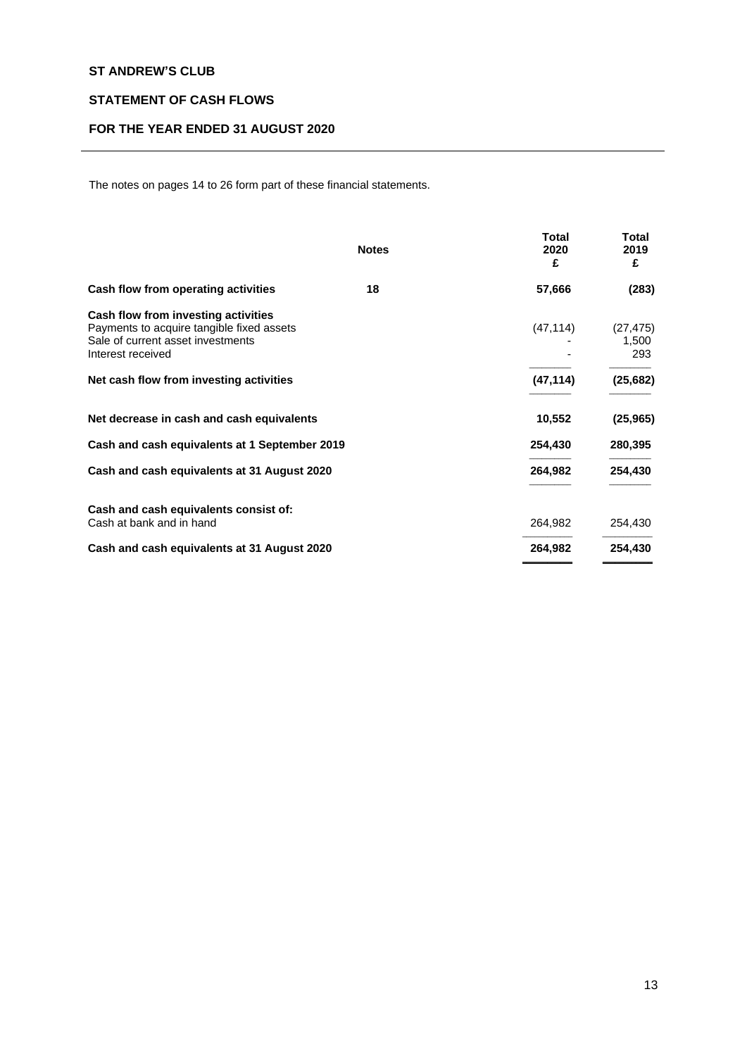# **STATEMENT OF CASH FLOWS**

# **FOR THE YEAR ENDED 31 AUGUST 2020**

The notes on pages 14 to 26 form part of these financial statements.

|                                                                                                                                            | <b>Notes</b> | <b>Total</b><br>2020<br>£ | <b>Total</b><br>2019<br>£ |
|--------------------------------------------------------------------------------------------------------------------------------------------|--------------|---------------------------|---------------------------|
| Cash flow from operating activities                                                                                                        | 18           | 57,666                    | (283)                     |
| Cash flow from investing activities<br>Payments to acquire tangible fixed assets<br>Sale of current asset investments<br>Interest received |              | (47, 114)                 | (27, 475)<br>1,500<br>293 |
| Net cash flow from investing activities                                                                                                    |              | (47, 114)                 | (25, 682)                 |
| Net decrease in cash and cash equivalents                                                                                                  |              | 10,552                    | (25, 965)                 |
| Cash and cash equivalents at 1 September 2019                                                                                              |              | 254,430                   | 280,395                   |
| Cash and cash equivalents at 31 August 2020                                                                                                |              | 264,982                   | 254,430                   |
| Cash and cash equivalents consist of:<br>Cash at bank and in hand                                                                          |              | 264,982                   | 254,430                   |
| Cash and cash equivalents at 31 August 2020                                                                                                |              | 264,982                   | 254,430                   |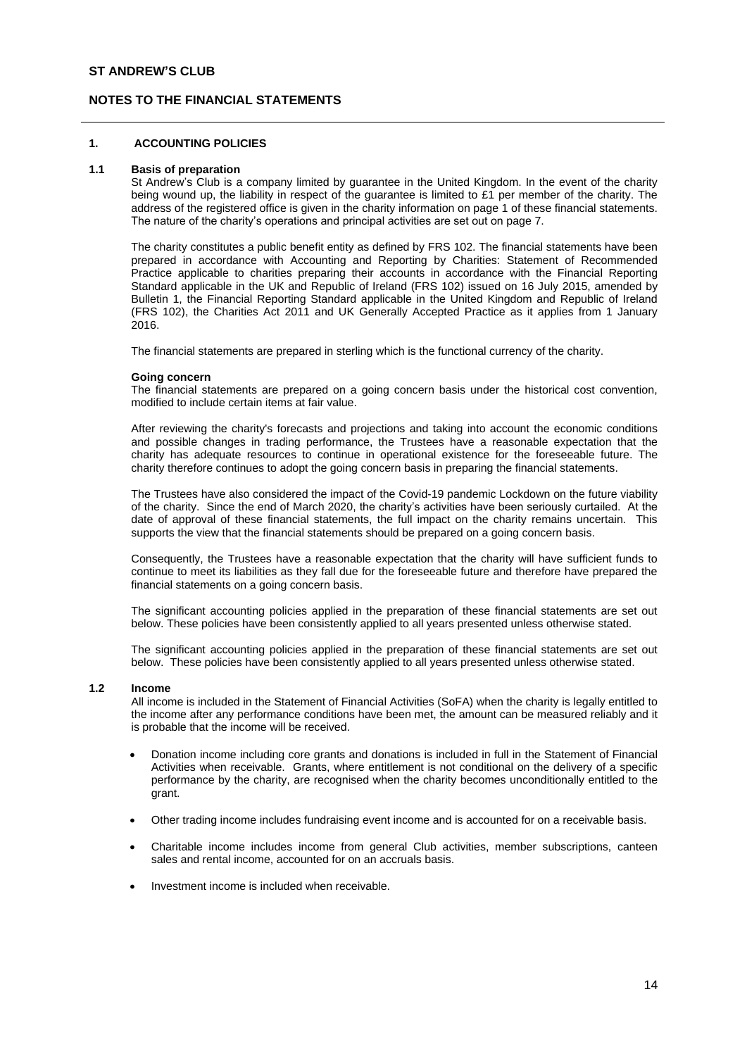# **NOTES TO THE FINANCIAL STATEMENTS**

### **1. ACCOUNTING POLICIES**

#### **1.1 Basis of preparation**

St Andrew's Club is a company limited by guarantee in the United Kingdom. In the event of the charity being wound up, the liability in respect of the guarantee is limited to £1 per member of the charity. The address of the registered office is given in the charity information on page 1 of these financial statements. The nature of the charity's operations and principal activities are set out on page 7.

The charity constitutes a public benefit entity as defined by FRS 102. The financial statements have been prepared in accordance with Accounting and Reporting by Charities: Statement of Recommended Practice applicable to charities preparing their accounts in accordance with the Financial Reporting Standard applicable in the UK and Republic of Ireland (FRS 102) issued on 16 July 2015, amended by Bulletin 1, the Financial Reporting Standard applicable in the United Kingdom and Republic of Ireland (FRS 102), the Charities Act 2011 and UK Generally Accepted Practice as it applies from 1 January 2016.

The financial statements are prepared in sterling which is the functional currency of the charity.

#### **Going concern**

The financial statements are prepared on a going concern basis under the historical cost convention, modified to include certain items at fair value.

After reviewing the charity's forecasts and projections and taking into account the economic conditions and possible changes in trading performance, the Trustees have a reasonable expectation that the charity has adequate resources to continue in operational existence for the foreseeable future. The charity therefore continues to adopt the going concern basis in preparing the financial statements.

The Trustees have also considered the impact of the Covid-19 pandemic Lockdown on the future viability of the charity. Since the end of March 2020, the charity's activities have been seriously curtailed. At the date of approval of these financial statements, the full impact on the charity remains uncertain. This supports the view that the financial statements should be prepared on a going concern basis.

Consequently, the Trustees have a reasonable expectation that the charity will have sufficient funds to continue to meet its liabilities as they fall due for the foreseeable future and therefore have prepared the financial statements on a going concern basis.

The significant accounting policies applied in the preparation of these financial statements are set out below. These policies have been consistently applied to all years presented unless otherwise stated.

The significant accounting policies applied in the preparation of these financial statements are set out below. These policies have been consistently applied to all years presented unless otherwise stated.

## **1.2 Income**

All income is included in the Statement of Financial Activities (SoFA) when the charity is legally entitled to the income after any performance conditions have been met, the amount can be measured reliably and it is probable that the income will be received.

- Donation income including core grants and donations is included in full in the Statement of Financial Activities when receivable. Grants, where entitlement is not conditional on the delivery of a specific performance by the charity, are recognised when the charity becomes unconditionally entitled to the grant.
- Other trading income includes fundraising event income and is accounted for on a receivable basis.
- Charitable income includes income from general Club activities, member subscriptions, canteen sales and rental income, accounted for on an accruals basis.
- Investment income is included when receivable.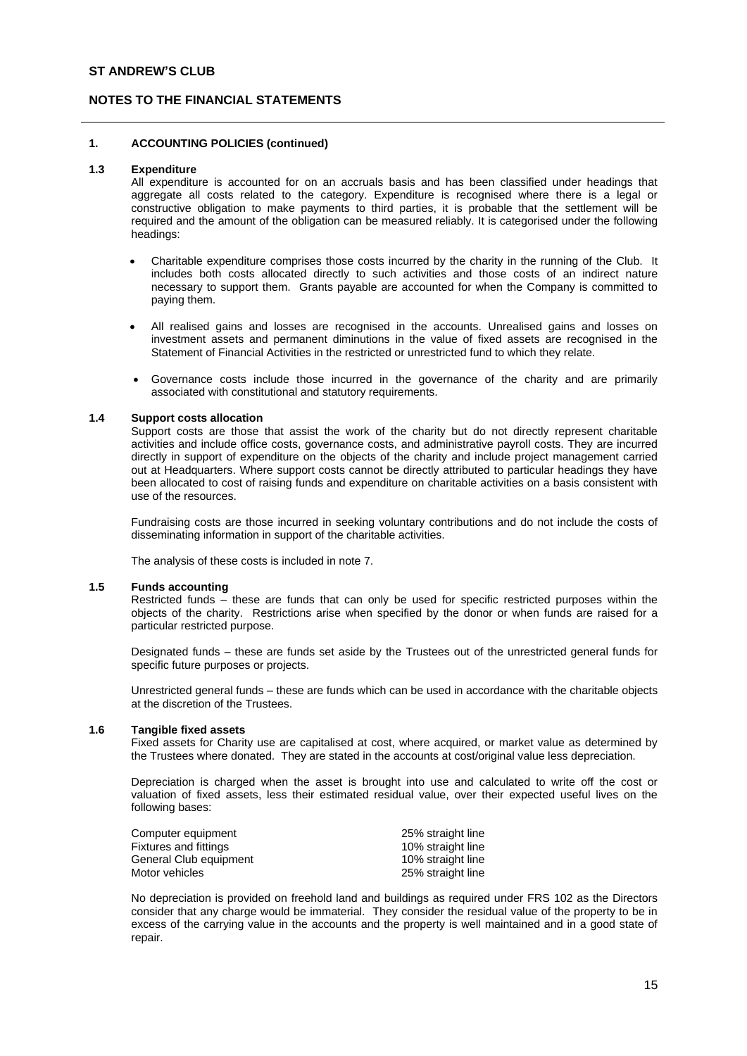## **NOTES TO THE FINANCIAL STATEMENTS**

### **1. ACCOUNTING POLICIES (continued)**

#### **1.3 Expenditure**

All expenditure is accounted for on an accruals basis and has been classified under headings that aggregate all costs related to the category. Expenditure is recognised where there is a legal or constructive obligation to make payments to third parties, it is probable that the settlement will be required and the amount of the obligation can be measured reliably. It is categorised under the following headings:

- Charitable expenditure comprises those costs incurred by the charity in the running of the Club. It includes both costs allocated directly to such activities and those costs of an indirect nature necessary to support them. Grants payable are accounted for when the Company is committed to paying them.
- All realised gains and losses are recognised in the accounts. Unrealised gains and losses on investment assets and permanent diminutions in the value of fixed assets are recognised in the Statement of Financial Activities in the restricted or unrestricted fund to which they relate.
- Governance costs include those incurred in the governance of the charity and are primarily associated with constitutional and statutory requirements.

### **1.4 Support costs allocation**

Support costs are those that assist the work of the charity but do not directly represent charitable activities and include office costs, governance costs, and administrative payroll costs. They are incurred directly in support of expenditure on the objects of the charity and include project management carried out at Headquarters. Where support costs cannot be directly attributed to particular headings they have been allocated to cost of raising funds and expenditure on charitable activities on a basis consistent with use of the resources.

Fundraising costs are those incurred in seeking voluntary contributions and do not include the costs of disseminating information in support of the charitable activities.

The analysis of these costs is included in note 7.

### **1.5 Funds accounting**

Restricted funds – these are funds that can only be used for specific restricted purposes within the objects of the charity. Restrictions arise when specified by the donor or when funds are raised for a particular restricted purpose.

Designated funds – these are funds set aside by the Trustees out of the unrestricted general funds for specific future purposes or projects.

Unrestricted general funds – these are funds which can be used in accordance with the charitable objects at the discretion of the Trustees.

#### **1.6 Tangible fixed assets**

Fixed assets for Charity use are capitalised at cost, where acquired, or market value as determined by the Trustees where donated. They are stated in the accounts at cost/original value less depreciation.

Depreciation is charged when the asset is brought into use and calculated to write off the cost or valuation of fixed assets, less their estimated residual value, over their expected useful lives on the following bases:

| Computer equipment     | 25% straight line |
|------------------------|-------------------|
| Fixtures and fittings  | 10% straight line |
| General Club equipment | 10% straight line |
| Motor vehicles         | 25% straight line |

No depreciation is provided on freehold land and buildings as required under FRS 102 as the Directors consider that any charge would be immaterial. They consider the residual value of the property to be in excess of the carrying value in the accounts and the property is well maintained and in a good state of repair.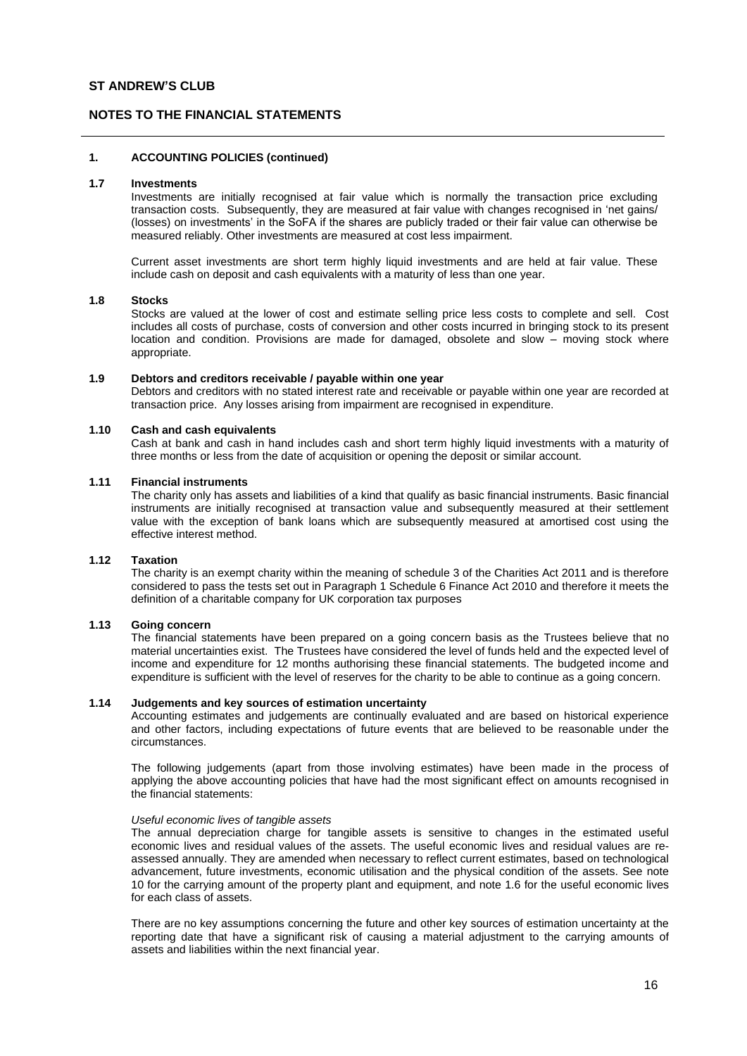## **NOTES TO THE FINANCIAL STATEMENTS**

### **1. ACCOUNTING POLICIES (continued)**

#### **1.7 Investments**

Investments are initially recognised at fair value which is normally the transaction price excluding transaction costs. Subsequently, they are measured at fair value with changes recognised in 'net gains/ (losses) on investments' in the SoFA if the shares are publicly traded or their fair value can otherwise be measured reliably. Other investments are measured at cost less impairment.

Current asset investments are short term highly liquid investments and are held at fair value. These include cash on deposit and cash equivalents with a maturity of less than one year.

### **1.8 Stocks**

Stocks are valued at the lower of cost and estimate selling price less costs to complete and sell. Cost includes all costs of purchase, costs of conversion and other costs incurred in bringing stock to its present location and condition. Provisions are made for damaged, obsolete and slow – moving stock where appropriate.

#### **1.9 Debtors and creditors receivable / payable within one year**

Debtors and creditors with no stated interest rate and receivable or payable within one year are recorded at transaction price. Any losses arising from impairment are recognised in expenditure.

#### **1.10 Cash and cash equivalents**

Cash at bank and cash in hand includes cash and short term highly liquid investments with a maturity of three months or less from the date of acquisition or opening the deposit or similar account.

### **1.11 Financial instruments**

The charity only has assets and liabilities of a kind that qualify as basic financial instruments. Basic financial instruments are initially recognised at transaction value and subsequently measured at their settlement value with the exception of bank loans which are subsequently measured at amortised cost using the effective interest method.

### **1.12 Taxation**

The charity is an exempt charity within the meaning of schedule 3 of the Charities Act 2011 and is therefore considered to pass the tests set out in Paragraph 1 Schedule 6 Finance Act 2010 and therefore it meets the definition of a charitable company for UK corporation tax purposes

## **1.13 Going concern**

The financial statements have been prepared on a going concern basis as the Trustees believe that no material uncertainties exist. The Trustees have considered the level of funds held and the expected level of income and expenditure for 12 months authorising these financial statements. The budgeted income and expenditure is sufficient with the level of reserves for the charity to be able to continue as a going concern.

#### **1.14 Judgements and key sources of estimation uncertainty**

Accounting estimates and judgements are continually evaluated and are based on historical experience and other factors, including expectations of future events that are believed to be reasonable under the circumstances.

The following judgements (apart from those involving estimates) have been made in the process of applying the above accounting policies that have had the most significant effect on amounts recognised in the financial statements:

#### *Useful economic lives of tangible assets*

The annual depreciation charge for tangible assets is sensitive to changes in the estimated useful economic lives and residual values of the assets. The useful economic lives and residual values are reassessed annually. They are amended when necessary to reflect current estimates, based on technological advancement, future investments, economic utilisation and the physical condition of the assets. See note 10 for the carrying amount of the property plant and equipment, and note 1.6 for the useful economic lives for each class of assets.

There are no key assumptions concerning the future and other key sources of estimation uncertainty at the reporting date that have a significant risk of causing a material adjustment to the carrying amounts of assets and liabilities within the next financial year.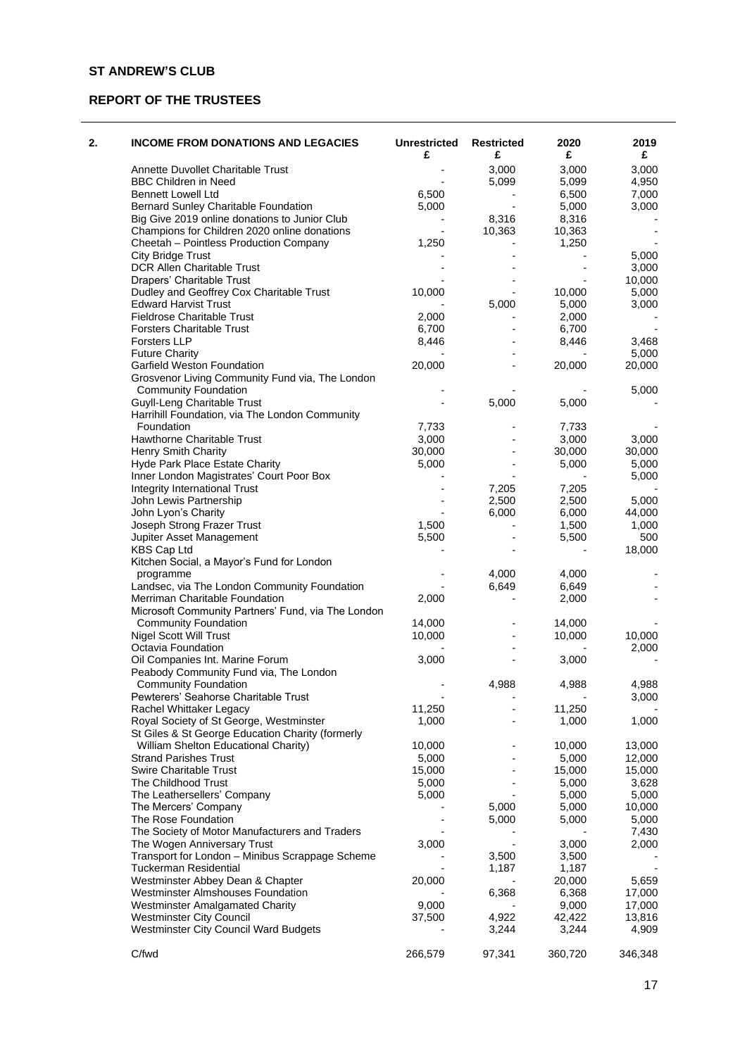# **REPORT OF THE TRUSTEES**

| 2. | <b>INCOME FROM DONATIONS AND LEGACIES</b>                                            | <b>Unrestricted</b><br>£ | <b>Restricted</b><br>£ | 2020<br>£ | 2019<br>£ |
|----|--------------------------------------------------------------------------------------|--------------------------|------------------------|-----------|-----------|
|    | Annette Duvollet Charitable Trust                                                    |                          | 3,000                  | 3,000     | 3,000     |
|    | <b>BBC Children in Need</b>                                                          |                          | 5,099                  | 5,099     | 4,950     |
|    | <b>Bennett Lowell Ltd</b>                                                            | 6,500                    |                        | 6,500     | 7,000     |
|    | Bernard Sunley Charitable Foundation                                                 | 5,000                    |                        | 5,000     | 3,000     |
|    | Big Give 2019 online donations to Junior Club                                        |                          | 8,316                  | 8,316     |           |
|    | Champions for Children 2020 online donations                                         |                          | 10,363                 | 10,363    |           |
|    | Cheetah - Pointless Production Company                                               | 1,250                    |                        | 1,250     |           |
|    | <b>City Bridge Trust</b>                                                             |                          |                        |           | 5,000     |
|    | DCR Allen Charitable Trust                                                           |                          |                        |           | 3,000     |
|    | Drapers' Charitable Trust                                                            |                          |                        |           | 10,000    |
|    | Dudley and Geoffrey Cox Charitable Trust                                             | 10,000                   |                        | 10,000    | 5,000     |
|    | <b>Edward Harvist Trust</b>                                                          |                          | 5,000                  | 5,000     | 3,000     |
|    | <b>Fieldrose Charitable Trust</b>                                                    | 2,000                    |                        | 2,000     |           |
|    | <b>Forsters Charitable Trust</b>                                                     | 6,700                    |                        | 6,700     |           |
|    | <b>Forsters LLP</b>                                                                  | 8,446                    |                        | 8,446     | 3,468     |
|    | <b>Future Charity</b>                                                                |                          |                        |           | 5,000     |
|    | Garfield Weston Foundation                                                           | 20,000                   |                        | 20,000    | 20,000    |
|    | Grosvenor Living Community Fund via, The London<br><b>Community Foundation</b>       |                          |                        |           | 5,000     |
|    | Guyll-Leng Charitable Trust                                                          |                          | 5,000                  | 5,000     |           |
|    | Harrihill Foundation, via The London Community                                       |                          |                        |           |           |
|    | Foundation                                                                           | 7,733                    |                        | 7,733     |           |
|    | Hawthorne Charitable Trust                                                           | 3,000                    |                        | 3,000     | 3,000     |
|    | Henry Smith Charity                                                                  | 30,000                   |                        | 30,000    | 30,000    |
|    | Hyde Park Place Estate Charity                                                       | 5,000                    |                        | 5,000     | 5,000     |
|    | Inner London Magistrates' Court Poor Box                                             |                          |                        |           | 5,000     |
|    | Integrity International Trust                                                        |                          | 7,205                  | 7,205     |           |
|    | John Lewis Partnership                                                               |                          | 2,500                  | 2,500     | 5,000     |
|    | John Lyon's Charity                                                                  |                          | 6,000                  | 6,000     | 44,000    |
|    | Joseph Strong Frazer Trust                                                           | 1,500                    |                        | 1,500     | 1,000     |
|    | Jupiter Asset Management                                                             | 5,500                    |                        | 5,500     | 500       |
|    | KBS Cap Ltd                                                                          |                          |                        |           | 18,000    |
|    | Kitchen Social, a Mayor's Fund for London                                            |                          |                        |           |           |
|    | programme                                                                            |                          | 4,000                  | 4,000     |           |
|    | Landsec, via The London Community Foundation                                         |                          | 6,649                  | 6,649     |           |
|    | Merriman Charitable Foundation<br>Microsoft Community Partners' Fund, via The London | 2,000                    |                        | 2,000     |           |
|    | <b>Community Foundation</b>                                                          | 14,000                   |                        | 14,000    |           |
|    | Nigel Scott Will Trust                                                               | 10,000                   |                        | 10,000    | 10,000    |
|    | Octavia Foundation                                                                   |                          |                        |           | 2,000     |
|    | Oil Companies Int. Marine Forum                                                      | 3,000                    |                        | 3,000     |           |
|    | Peabody Community Fund via, The London                                               |                          |                        |           |           |
|    | <b>Community Foundation</b>                                                          |                          | 4,988                  | 4,988     | 4,988     |
|    | Pewterers' Seahorse Charitable Trust                                                 |                          |                        |           | 3,000     |
|    | Rachel Whittaker Legacy                                                              | 11,250                   |                        | 11,250    |           |
|    | Royal Society of St George, Westminster                                              | 1,000                    |                        | 1,000     | 1,000     |
|    | St Giles & St George Education Charity (formerly                                     |                          |                        |           |           |
|    | William Shelton Educational Charity)                                                 | 10,000                   |                        | 10,000    | 13,000    |
|    | <b>Strand Parishes Trust</b>                                                         | 5,000                    |                        | 5,000     | 12,000    |
|    | <b>Swire Charitable Trust</b>                                                        | 15,000                   |                        | 15,000    | 15,000    |
|    | The Childhood Trust                                                                  | 5,000                    |                        | 5,000     | 3,628     |
|    | The Leathersellers' Company                                                          | 5,000                    |                        | 5,000     | 5,000     |
|    | The Mercers' Company                                                                 |                          | 5,000                  | 5,000     | 10,000    |
|    | The Rose Foundation                                                                  |                          | 5,000                  | 5,000     | 5,000     |
|    | The Society of Motor Manufacturers and Traders                                       |                          |                        |           | 7,430     |
|    | The Wogen Anniversary Trust                                                          | 3,000                    |                        | 3,000     | 2,000     |
|    | Transport for London - Minibus Scrappage Scheme                                      |                          | 3,500                  | 3,500     |           |
|    | <b>Tuckerman Residential</b>                                                         |                          | 1,187                  | 1,187     |           |
|    | Westminster Abbey Dean & Chapter                                                     | 20,000                   |                        | 20,000    | 5,659     |
|    | <b>Westminster Almshouses Foundation</b>                                             |                          | 6,368                  | 6,368     | 17,000    |
|    | <b>Westminster Amalgamated Charity</b>                                               | 9,000                    |                        | 9,000     | 17,000    |
|    | <b>Westminster City Council</b>                                                      | 37,500                   | 4,922                  | 42,422    | 13,816    |
|    | <b>Westminster City Council Ward Budgets</b>                                         |                          | 3,244                  | 3,244     | 4,909     |
|    |                                                                                      |                          |                        |           |           |
|    | C/fwd                                                                                | 266,579                  | 97,341                 | 360,720   | 346,348   |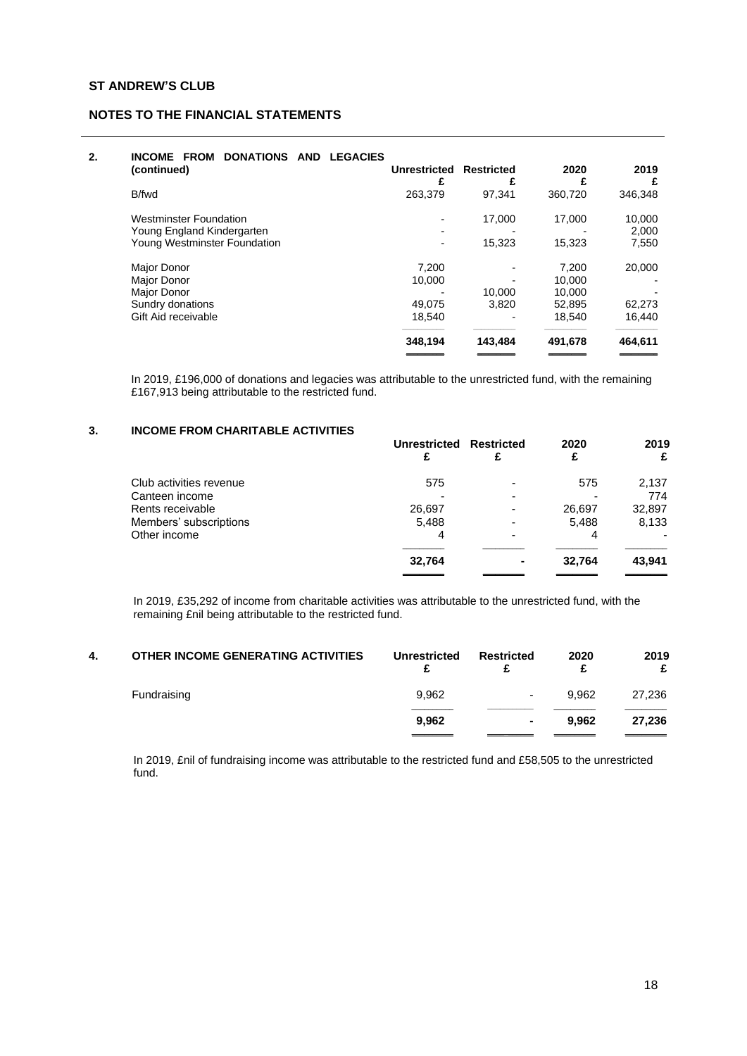# **2. INCOME FROM DONATIONS AND LEGACIES**

| -------<br>(continued)        | <b>Unrestricted</b><br>£ | <b>Restricted</b> | 2020<br>£ | 2019<br>£ |
|-------------------------------|--------------------------|-------------------|-----------|-----------|
| B/fwd                         | 263,379                  | 97.341            | 360,720   | 346,348   |
| <b>Westminster Foundation</b> |                          | 17.000            | 17.000    | 10,000    |
| Young England Kindergarten    |                          |                   |           | 2,000     |
| Young Westminster Foundation  |                          | 15,323            | 15.323    | 7,550     |
| Major Donor                   | 7.200                    |                   | 7.200     | 20,000    |
| Major Donor                   | 10,000                   |                   | 10.000    |           |
| Major Donor                   |                          | 10.000            | 10.000    |           |
| Sundry donations              | 49.075                   | 3.820             | 52.895    | 62,273    |
| Gift Aid receivable           | 18,540                   |                   | 18,540    | 16,440    |
|                               | 348,194                  | 143,484           | 491,678   | 464,611   |
|                               |                          |                   |           |           |

In 2019, £196,000 of donations and legacies was attributable to the unrestricted fund, with the remaining £167,913 being attributable to the restricted fund.

# **3. INCOME FROM CHARITABLE ACTIVITIES**

|                         | Unrestricted Restricted | 2020   | 2019<br>£ |
|-------------------------|-------------------------|--------|-----------|
| Club activities revenue | 575                     | 575    | 2,137     |
| Canteen income          |                         |        | 774       |
| Rents receivable        | 26,697                  | 26,697 | 32,897    |
| Members' subscriptions  | 5,488                   | 5,488  | 8,133     |
| Other income            | 4                       | 4      |           |
|                         | 32,764                  | 32,764 | 43,941    |
|                         |                         |        |           |

In 2019, £35,292 of income from charitable activities was attributable to the unrestricted fund, with the remaining £nil being attributable to the restricted fund.

|       |                          |       | 2019<br>£                                        |
|-------|--------------------------|-------|--------------------------------------------------|
| 9,962 | $\overline{\phantom{0}}$ | 9.962 | 27,236                                           |
| 9.962 |                          | 9.962 | 27,236                                           |
|       |                          |       | 2020<br><b>Unrestricted</b><br><b>Restricted</b> |

In 2019, £nil of fundraising income was attributable to the restricted fund and £58,505 to the unrestricted fund.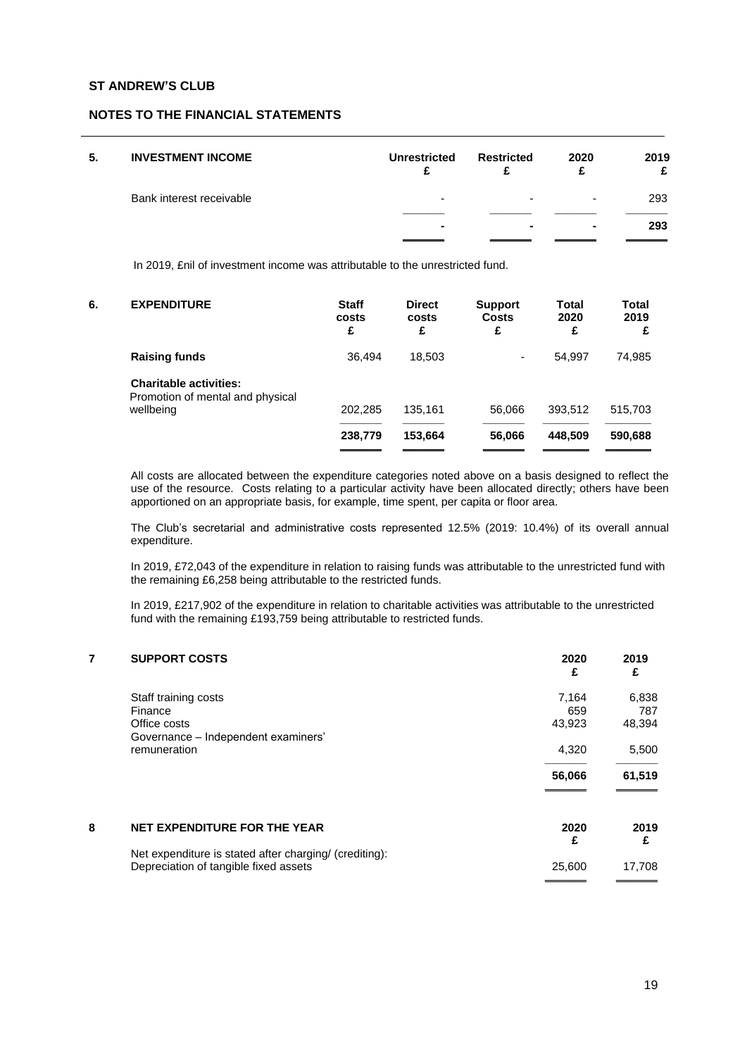## **NOTES TO THE FINANCIAL STATEMENTS**

| 5. | <b>INVESTMENT INCOME</b> | Unrestricted   | Restricted | 2020 | 2019<br>£ |
|----|--------------------------|----------------|------------|------|-----------|
|    | Bank interest receivable | -              | -          | -    | 293       |
|    |                          | $\blacksquare$ |            |      | 293       |

In 2019, £nil of investment income was attributable to the unrestricted fund.

| 6. | <b>EXPENDITURE</b>                                                             | <b>Staff</b><br>costs<br>£ | <b>Direct</b><br>costs<br>£ | <b>Support</b><br><b>Costs</b><br>£ | Total<br>2020<br>£ | Total<br>2019<br>£ |
|----|--------------------------------------------------------------------------------|----------------------------|-----------------------------|-------------------------------------|--------------------|--------------------|
|    | <b>Raising funds</b>                                                           | 36.494                     | 18.503                      | $\overline{\phantom{0}}$            | 54.997             | 74,985             |
|    | <b>Charitable activities:</b><br>Promotion of mental and physical<br>wellbeing | 202.285                    | 135,161                     | 56.066                              | 393,512            | 515,703            |
|    |                                                                                |                            |                             |                                     |                    |                    |
|    |                                                                                | 238,779                    | 153,664                     | 56,066                              | 448.509            | 590,688            |
|    |                                                                                |                            |                             |                                     |                    |                    |

All costs are allocated between the expenditure categories noted above on a basis designed to reflect the use of the resource. Costs relating to a particular activity have been allocated directly; others have been apportioned on an appropriate basis, for example, time spent, per capita or floor area.

The Club's secretarial and administrative costs represented 12.5% (2019: 10.4%) of its overall annual expenditure.

In 2019, £72,043 of the expenditure in relation to raising funds was attributable to the unrestricted fund with the remaining £6,258 being attributable to the restricted funds.

In 2019, £217,902 of the expenditure in relation to charitable activities was attributable to the unrestricted fund with the remaining £193,759 being attributable to restricted funds.

| 7 | <b>SUPPORT COSTS</b>                                                                            | 2020<br>£              | 2019<br>£              |
|---|-------------------------------------------------------------------------------------------------|------------------------|------------------------|
|   | Staff training costs<br>Finance<br>Office costs                                                 | 7,164<br>659<br>43,923 | 6,838<br>787<br>48,394 |
|   | Governance - Independent examiners'<br>remuneration                                             | 4,320<br>56,066        | 5,500<br>61,519        |
|   |                                                                                                 |                        |                        |
| 8 | NET EXPENDITURE FOR THE YEAR                                                                    | 2020<br>£              | 2019<br>£              |
|   | Net expenditure is stated after charging/ (crediting):<br>Depreciation of tangible fixed assets | 25,600                 | 17,708                 |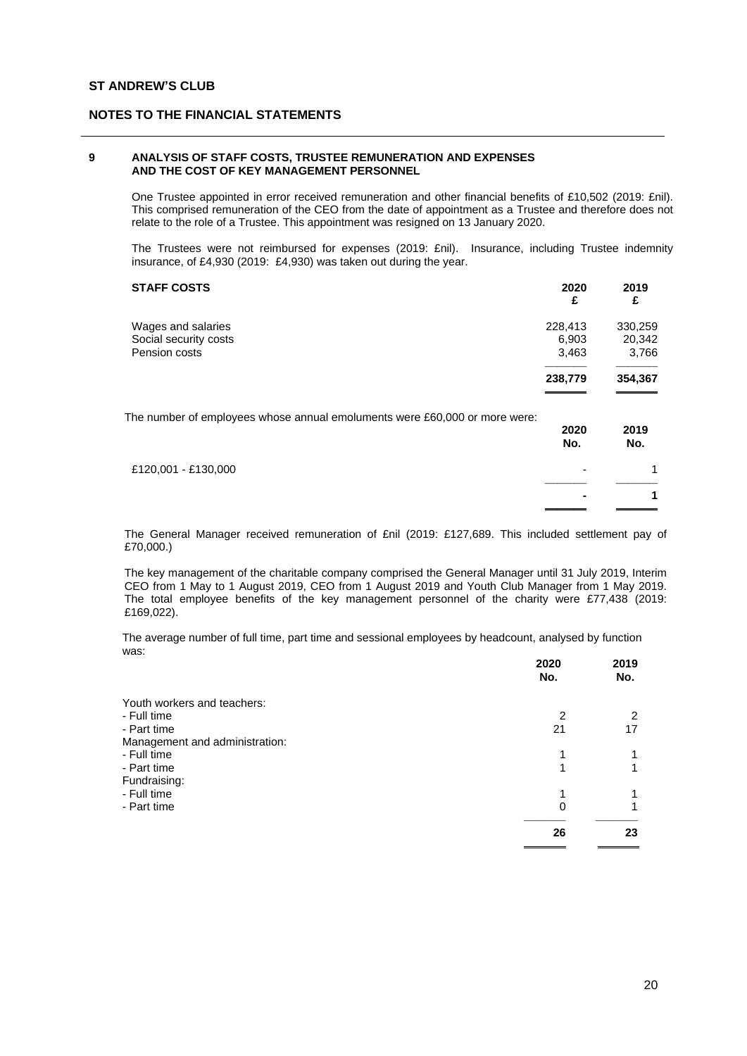### **9 ANALYSIS OF STAFF COSTS, TRUSTEE REMUNERATION AND EXPENSES AND THE COST OF KEY MANAGEMENT PERSONNEL**

One Trustee appointed in error received remuneration and other financial benefits of £10,502 (2019: £nil). This comprised remuneration of the CEO from the date of appointment as a Trustee and therefore does not relate to the role of a Trustee. This appointment was resigned on 13 January 2020.

The Trustees were not reimbursed for expenses (2019: £nil). Insurance, including Trustee indemnity insurance, of £4,930 (2019: £4,930) was taken out during the year.

| <b>STAFF COSTS</b>                                                         | 2020<br>£                 | 2019<br>£                  |
|----------------------------------------------------------------------------|---------------------------|----------------------------|
| Wages and salaries<br>Social security costs<br>Pension costs               | 228,413<br>6,903<br>3,463 | 330,259<br>20,342<br>3,766 |
|                                                                            | 238,779                   | 354,367                    |
| The number of employees whose annual emoluments were £60,000 or more were: | 2020<br>No.               | 2019<br>No.                |
| £120,001 - £130,000                                                        |                           |                            |
|                                                                            |                           | 1                          |

The General Manager received remuneration of £nil (2019: £127,689. This included settlement pay of £70,000.)

The key management of the charitable company comprised the General Manager until 31 July 2019, Interim CEO from 1 May to 1 August 2019, CEO from 1 August 2019 and Youth Club Manager from 1 May 2019. The total employee benefits of the key management personnel of the charity were £77,438 (2019: £169,022).

The average number of full time, part time and sessional employees by headcount, analysed by function was:

|                                | 2020<br>No. | 2019<br>No. |
|--------------------------------|-------------|-------------|
| Youth workers and teachers:    |             |             |
| - Full time                    | 2           | 2           |
| - Part time                    | 21          | 17          |
| Management and administration: |             |             |
| - Full time                    |             |             |
| - Part time                    |             |             |
| Fundraising:                   |             |             |
| - Full time                    | 1           |             |
| - Part time                    | 0           |             |
|                                | 26          | 23          |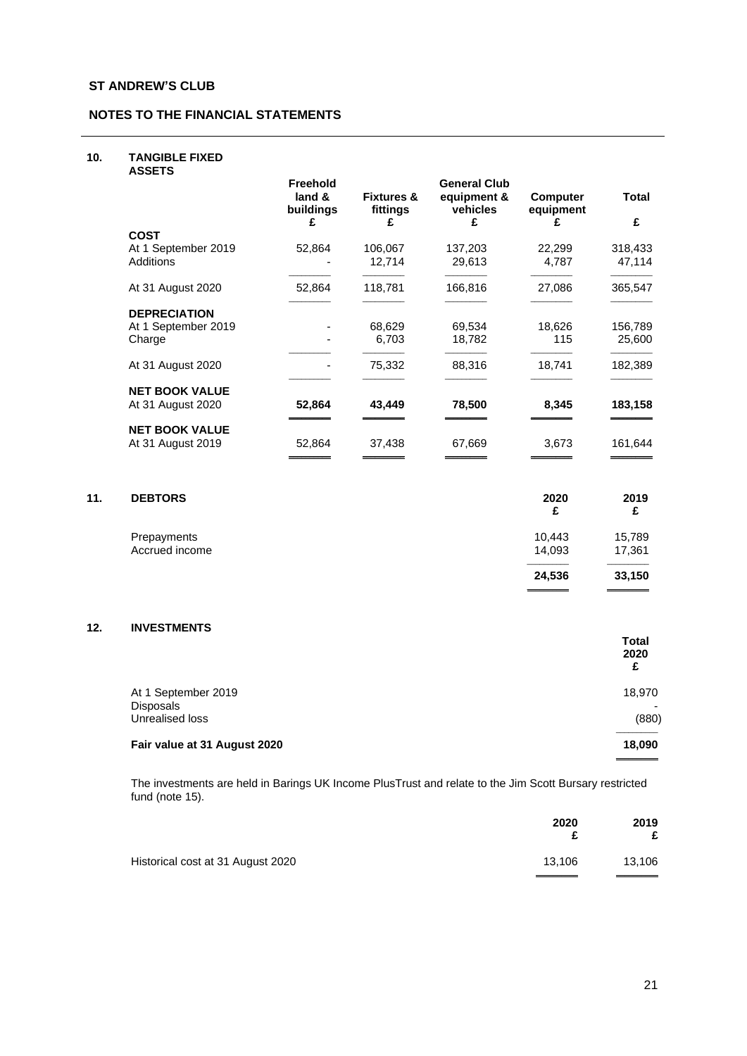### **10. TANGIBLE FIXED**

| <b>ASSETS</b>                              |                                             |                                        |                                                     |                                   |                   |
|--------------------------------------------|---------------------------------------------|----------------------------------------|-----------------------------------------------------|-----------------------------------|-------------------|
|                                            | <b>Freehold</b><br>land &<br>buildings<br>£ | <b>Fixtures &amp;</b><br>fittings<br>£ | <b>General Club</b><br>equipment &<br>vehicles<br>£ | <b>Computer</b><br>equipment<br>£ | <b>Total</b><br>£ |
| <b>COST</b>                                |                                             |                                        |                                                     |                                   |                   |
| At 1 September 2019                        | 52,864                                      | 106,067                                | 137,203                                             | 22,299                            | 318,433           |
| <b>Additions</b>                           |                                             | 12,714                                 | 29,613                                              | 4,787                             | 47,114            |
| At 31 August 2020                          | 52,864                                      | 118,781                                | 166,816                                             | 27,086                            | 365,547           |
| <b>DEPRECIATION</b>                        |                                             |                                        |                                                     |                                   |                   |
| At 1 September 2019                        |                                             | 68,629                                 | 69,534                                              | 18,626                            | 156,789           |
| Charge                                     |                                             | 6,703                                  | 18,782                                              | 115                               | 25,600            |
| At 31 August 2020                          |                                             | 75,332                                 | 88,316                                              | 18,741                            | 182,389           |
| <b>NET BOOK VALUE</b><br>At 31 August 2020 | 52,864                                      | 43,449                                 | 78,500                                              | 8,345                             | 183,158           |
| <b>NET BOOK VALUE</b>                      |                                             |                                        |                                                     |                                   |                   |
| At 31 August 2019                          | 52,864                                      | 37,438                                 | 67,669                                              | 3,673                             | 161,644           |

| 11. | <b>DEBTORS</b> | 2020<br>£ | 2019   |
|-----|----------------|-----------|--------|
|     | Prepayments    | 10,443    | 15,789 |
|     | Accrued income | 14,093    | 17,361 |
|     |                | 24,536    | 33,150 |

# **12. INVESTMENTS**

|                                                     | <b>Total</b><br>2020<br>£ |
|-----------------------------------------------------|---------------------------|
| At 1 September 2019<br>Disposals<br>Unrealised loss | 18,970<br>(880)           |
| Fair value at 31 August 2020                        | 18,090                    |

The investments are held in Barings UK Income PlusTrust and relate to the Jim Scott Bursary restricted fund (note 15).

|                                   | 2020   | 2019<br>£ |
|-----------------------------------|--------|-----------|
| Historical cost at 31 August 2020 | 13.106 | 13,106    |
|                                   |        |           |

\_\_\_\_\_\_\_\_\_\_ \_\_\_\_\_\_\_\_\_\_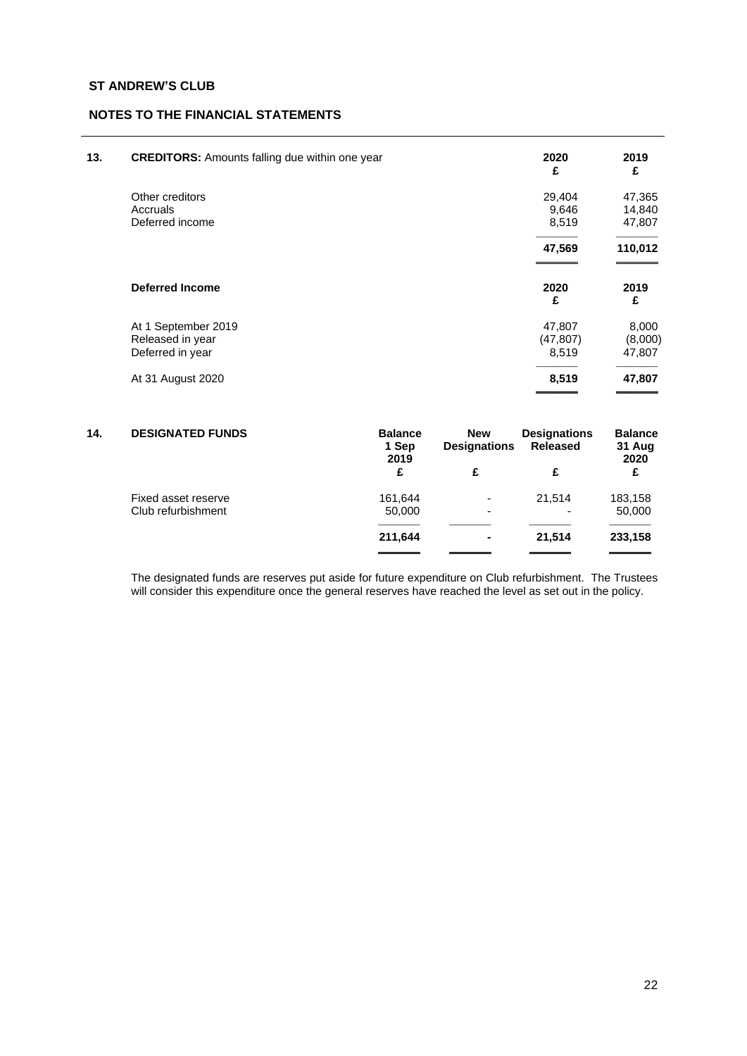| <b>CREDITORS:</b> Amounts falling due within one year | 2020<br>£                                                              | 2019<br>£                             |
|-------------------------------------------------------|------------------------------------------------------------------------|---------------------------------------|
| Other creditors                                       | 29,404                                                                 | 47,365                                |
|                                                       |                                                                        | 14,840                                |
|                                                       |                                                                        | 47,807                                |
|                                                       | 47,569                                                                 | 110,012                               |
| <b>Deferred Income</b>                                | 2020<br>£                                                              | 2019<br>£                             |
|                                                       |                                                                        | 8,000                                 |
|                                                       |                                                                        | (8,000)                               |
| Deferred in year                                      | 8,519                                                                  | 47,807                                |
| At 31 August 2020                                     | 8,519                                                                  | 47,807                                |
|                                                       | Accruals<br>Deferred income<br>At 1 September 2019<br>Released in year | 9,646<br>8,519<br>47,807<br>(47, 807) |

| 14. | <b>DESIGNATED FUNDS</b> | <b>Balance</b><br>1 Sep<br>2019 | <b>New</b><br><b>Designations</b> | <b>Designations</b><br><b>Released</b> | <b>Balance</b><br>31 Aug<br>2020 |
|-----|-------------------------|---------------------------------|-----------------------------------|----------------------------------------|----------------------------------|
|     |                         | £                               | £                                 | £                                      | £                                |
|     | Fixed asset reserve     | 161.644                         | $\overline{a}$                    | 21,514                                 | 183,158                          |
|     | Club refurbishment      | 50,000                          | -                                 | -                                      | 50,000                           |
|     |                         | 211,644                         | $\blacksquare$                    | 21.514                                 | 233,158                          |
|     |                         |                                 |                                   |                                        |                                  |

The designated funds are reserves put aside for future expenditure on Club refurbishment. The Trustees will consider this expenditure once the general reserves have reached the level as set out in the policy.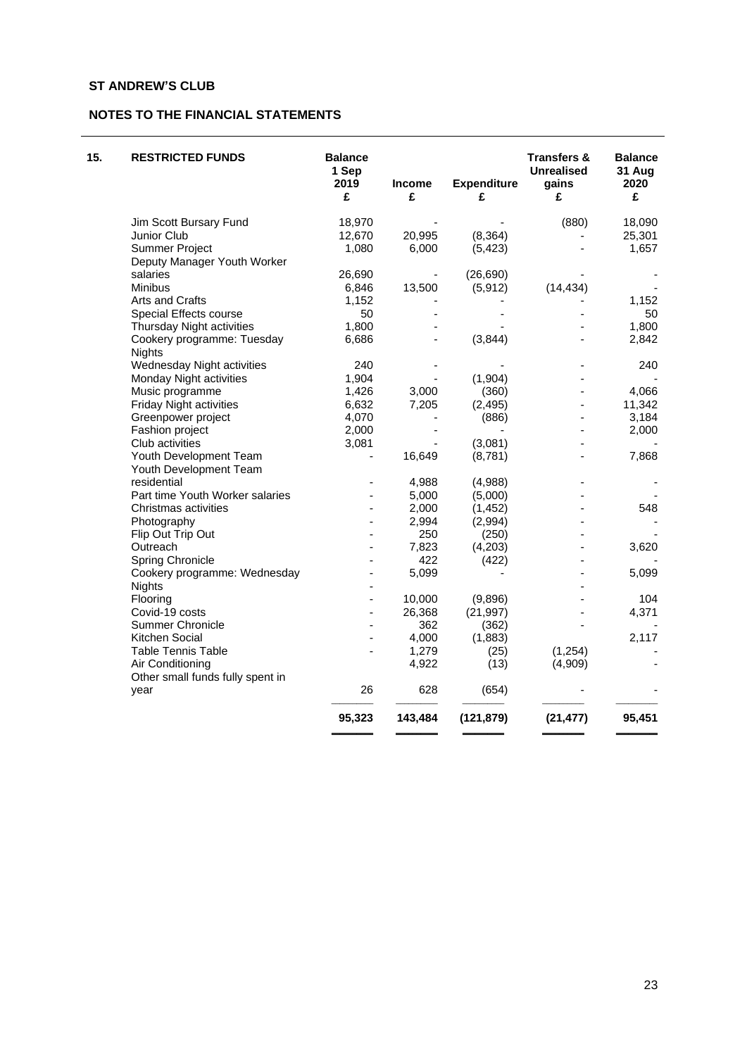# **NOTES TO THE FINANCIAL STATEMENTS**

| 15. | <b>RESTRICTED FUNDS</b>          | <b>Balance</b><br>1 Sep<br>2019<br>£ | Income<br>£ | <b>Expenditure</b><br>£ | <b>Transfers &amp;</b><br><b>Unrealised</b><br>gains<br>£ | <b>Balance</b><br>31 Aug<br>2020<br>£ |
|-----|----------------------------------|--------------------------------------|-------------|-------------------------|-----------------------------------------------------------|---------------------------------------|
|     | Jim Scott Bursary Fund           | 18,970                               |             |                         | (880)                                                     | 18,090                                |
|     | Junior Club                      | 12,670                               | 20,995      | (8, 364)                |                                                           | 25,301                                |
|     | <b>Summer Project</b>            | 1,080                                | 6,000       | (5, 423)                |                                                           | 1,657                                 |
|     | Deputy Manager Youth Worker      |                                      |             |                         |                                                           |                                       |
|     | salaries                         | 26,690                               |             | (26, 690)               |                                                           |                                       |
|     | Minibus                          | 6,846                                | 13,500      | (5, 912)                | (14, 434)                                                 |                                       |
|     | Arts and Crafts                  | 1,152                                |             |                         |                                                           | 1,152                                 |
|     | Special Effects course           | 50                                   |             |                         |                                                           | 50                                    |
|     | Thursday Night activities        | 1,800                                |             |                         |                                                           | 1,800                                 |
|     | Cookery programme: Tuesday       | 6,686                                |             | (3, 844)                |                                                           | 2,842                                 |
|     | <b>Nights</b>                    |                                      |             |                         |                                                           |                                       |
|     | Wednesday Night activities       | 240                                  |             |                         |                                                           | 240                                   |
|     | Monday Night activities          | 1,904                                |             | (1,904)                 |                                                           |                                       |
|     | Music programme                  | 1,426                                | 3,000       | (360)                   |                                                           | 4,066                                 |
|     | Friday Night activities          | 6,632                                | 7,205       | (2, 495)                |                                                           | 11,342                                |
|     | Greenpower project               | 4,070                                |             | (886)                   |                                                           | 3,184                                 |
|     | Fashion project                  | 2,000                                |             |                         |                                                           | 2,000                                 |
|     | Club activities                  | 3,081                                |             | (3,081)                 |                                                           |                                       |
|     | Youth Development Team           |                                      | 16,649      | (8,781)                 |                                                           | 7,868                                 |
|     | Youth Development Team           |                                      |             |                         |                                                           |                                       |
|     | residential                      |                                      | 4,988       | (4,988)                 |                                                           |                                       |
|     | Part time Youth Worker salaries  | $\overline{\phantom{a}}$             | 5,000       | (5,000)                 |                                                           |                                       |
|     | Christmas activities             |                                      | 2,000       | (1, 452)                |                                                           | 548                                   |
|     | Photography                      | $\blacksquare$                       | 2,994       | (2,994)                 |                                                           |                                       |
|     | Flip Out Trip Out                |                                      | 250         | (250)                   |                                                           |                                       |
|     | Outreach                         |                                      | 7,823       | (4,203)                 |                                                           | 3,620                                 |
|     | Spring Chronicle                 |                                      | 422         | (422)                   |                                                           |                                       |
|     | Cookery programme: Wednesday     |                                      | 5,099       |                         |                                                           | 5,099                                 |
|     | <b>Nights</b>                    |                                      |             |                         |                                                           |                                       |
|     | Flooring                         | $\overline{\phantom{a}}$             | 10,000      | (9,896)                 |                                                           | 104                                   |
|     | Covid-19 costs                   | $\overline{\phantom{0}}$             | 26,368      | (21, 997)               |                                                           | 4,371                                 |
|     | <b>Summer Chronicle</b>          |                                      | 362         | (362)                   |                                                           |                                       |
|     | Kitchen Social                   | $\overline{\phantom{a}}$             | 4,000       | (1,883)                 |                                                           | 2,117                                 |
|     | <b>Table Tennis Table</b>        |                                      | 1,279       | (25)                    | (1, 254)                                                  |                                       |
|     | Air Conditioning                 |                                      | 4,922       | (13)                    | (4,909)                                                   |                                       |
|     | Other small funds fully spent in |                                      |             |                         |                                                           |                                       |
|     | year                             | 26                                   | 628         | (654)                   |                                                           |                                       |
|     |                                  | 95,323                               | 143,484     | (121, 879)              | (21, 477)                                                 | 95,451                                |
|     |                                  |                                      |             |                         |                                                           |                                       |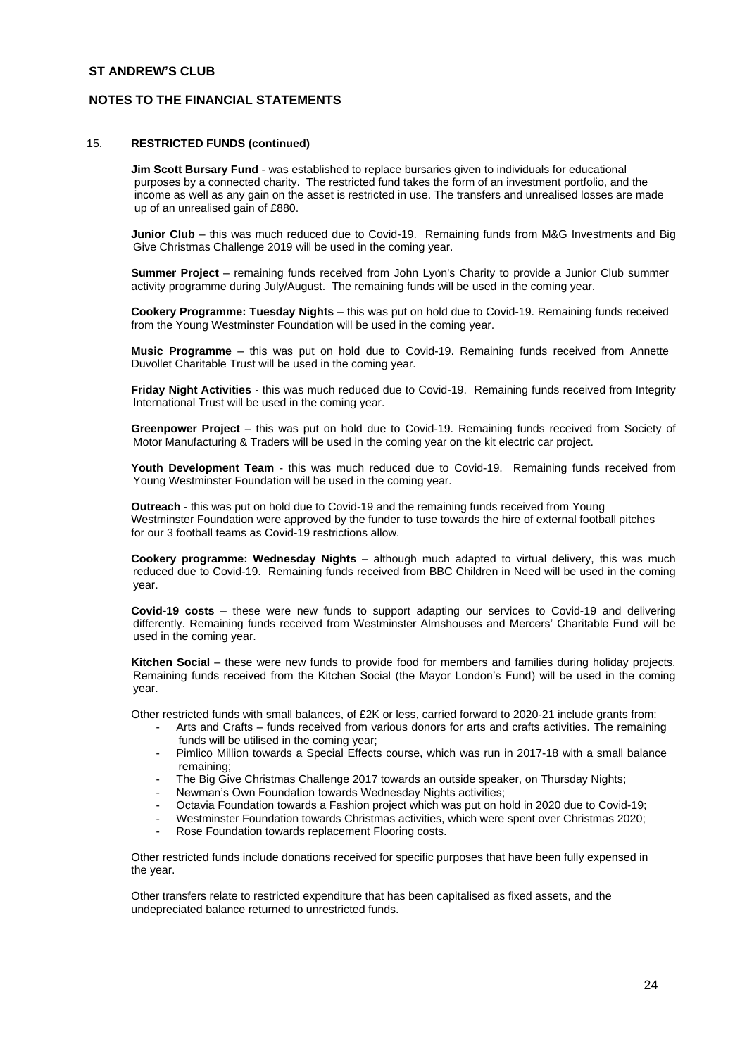### 15. **RESTRICTED FUNDS (continued)**

**Jim Scott Bursary Fund** - was established to replace bursaries given to individuals for educational purposes by a connected charity. The restricted fund takes the form of an investment portfolio, and the income as well as any gain on the asset is restricted in use. The transfers and unrealised losses are made up of an unrealised gain of £880.

**Junior Club** – this was much reduced due to Covid-19. Remaining funds from M&G Investments and Big Give Christmas Challenge 2019 will be used in the coming year.

**Summer Project** – remaining funds received from John Lyon's Charity to provide a Junior Club summer activity programme during July/August. The remaining funds will be used in the coming year.

**Cookery Programme: Tuesday Nights** – this was put on hold due to Covid-19. Remaining funds received from the Young Westminster Foundation will be used in the coming year.

**Music Programme** – this was put on hold due to Covid-19. Remaining funds received from Annette Duvollet Charitable Trust will be used in the coming year.

**Friday Night Activities** - this was much reduced due to Covid-19. Remaining funds received from Integrity International Trust will be used in the coming year.

**Greenpower Project** – this was put on hold due to Covid-19. Remaining funds received from Society of Motor Manufacturing & Traders will be used in the coming year on the kit electric car project.

**Youth Development Team** - this was much reduced due to Covid-19. Remaining funds received from Young Westminster Foundation will be used in the coming year.

**Outreach** - this was put on hold due to Covid-19 and the remaining funds received from Young Westminster Foundation were approved by the funder to tuse towards the hire of external football pitches for our 3 football teams as Covid-19 restrictions allow.

**Cookery programme: Wednesday Nights** – although much adapted to virtual delivery, this was much reduced due to Covid-19. Remaining funds received from BBC Children in Need will be used in the coming year.

**Covid-19 costs** – these were new funds to support adapting our services to Covid-19 and delivering differently. Remaining funds received from Westminster Almshouses and Mercers' Charitable Fund will be used in the coming year.

**Kitchen Social** – these were new funds to provide food for members and families during holiday projects. Remaining funds received from the Kitchen Social (the Mayor London's Fund) will be used in the coming year.

Other restricted funds with small balances, of £2K or less, carried forward to 2020-21 include grants from:

- Arts and Crafts funds received from various donors for arts and crafts activities. The remaining funds will be utilised in the coming year;
- Pimlico Million towards a Special Effects course, which was run in 2017-18 with a small balance remaining;
- The Big Give Christmas Challenge 2017 towards an outside speaker, on Thursday Nights;
- Newman's Own Foundation towards Wednesday Nights activities:
- Octavia Foundation towards a Fashion project which was put on hold in 2020 due to Covid-19;
- Westminster Foundation towards Christmas activities, which were spent over Christmas 2020;
- Rose Foundation towards replacement Flooring costs.

Other restricted funds include donations received for specific purposes that have been fully expensed in the year.

Other transfers relate to restricted expenditure that has been capitalised as fixed assets, and the undepreciated balance returned to unrestricted funds.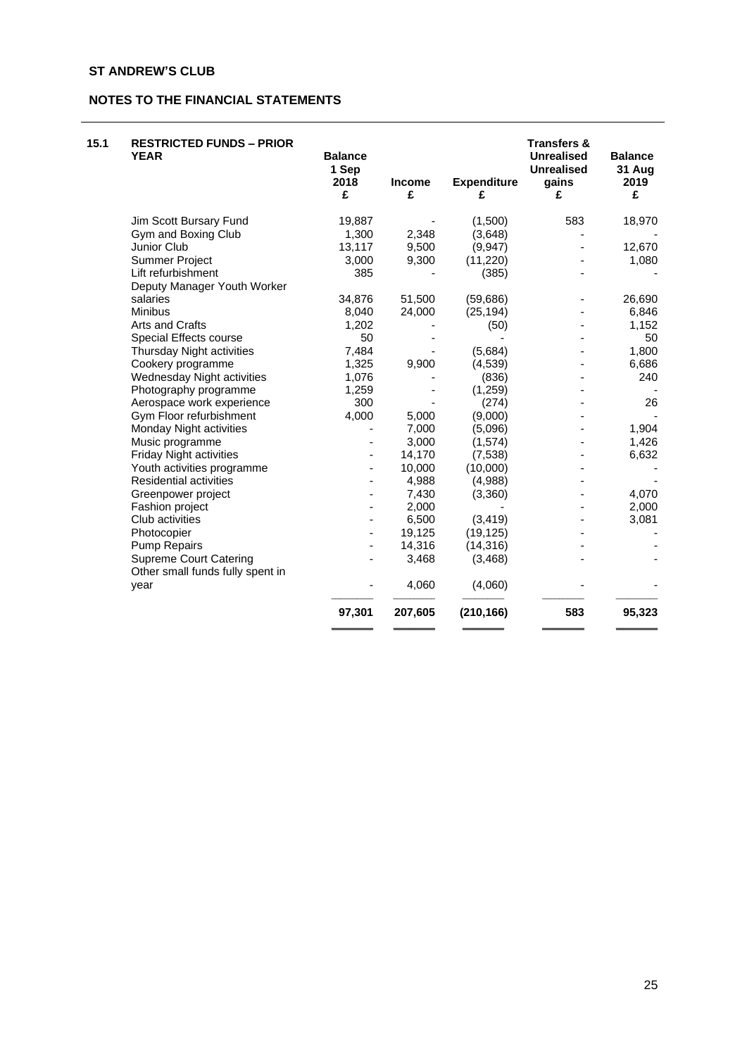# **NOTES TO THE FINANCIAL STATEMENTS**

| 15.1 | <b>RESTRICTED FUNDS - PRIOR</b><br><b>YEAR</b> | <b>Balance</b><br>1 Sep<br>2018<br>£ | <b>Income</b><br>£ | <b>Expenditure</b><br>£ | <b>Transfers &amp;</b><br><b>Unrealised</b><br><b>Unrealised</b><br>gains<br>£ | <b>Balance</b><br>31 Aug<br>2019<br>£ |
|------|------------------------------------------------|--------------------------------------|--------------------|-------------------------|--------------------------------------------------------------------------------|---------------------------------------|
|      | Jim Scott Bursary Fund                         | 19,887                               |                    | (1,500)                 | 583                                                                            | 18,970                                |
|      | Gym and Boxing Club                            | 1,300                                | 2,348              | (3,648)                 |                                                                                |                                       |
|      | Junior Club                                    | 13,117                               | 9,500              | (9, 947)                |                                                                                | 12,670                                |
|      | <b>Summer Project</b>                          | 3,000                                | 9,300              | (11, 220)               |                                                                                | 1,080                                 |
|      | Lift refurbishment                             | 385                                  |                    | (385)                   |                                                                                |                                       |
|      | Deputy Manager Youth Worker                    |                                      |                    |                         |                                                                                |                                       |
|      | salaries                                       | 34,876                               | 51,500             | (59,686)                |                                                                                | 26,690                                |
|      | <b>Minibus</b>                                 | 8,040                                | 24,000             | (25, 194)               |                                                                                | 6,846                                 |
|      | Arts and Crafts                                | 1,202                                |                    | (50)                    |                                                                                | 1,152                                 |
|      | Special Effects course                         | 50                                   |                    |                         |                                                                                | 50                                    |
|      | Thursday Night activities                      | 7,484                                |                    | (5,684)                 |                                                                                | 1,800                                 |
|      | Cookery programme                              | 1,325                                | 9,900              | (4, 539)                |                                                                                | 6,686                                 |
|      | Wednesday Night activities                     | 1,076                                |                    | (836)                   |                                                                                | 240                                   |
|      | Photography programme                          | 1,259                                |                    | (1, 259)                |                                                                                |                                       |
|      | Aerospace work experience                      | 300                                  |                    | (274)                   |                                                                                | 26                                    |
|      | Gym Floor refurbishment                        | 4,000                                | 5,000              | (9,000)                 |                                                                                |                                       |
|      | Monday Night activities                        |                                      | 7,000              | (5,096)                 |                                                                                | 1,904                                 |
|      | Music programme                                | $\overline{\phantom{0}}$             | 3,000              | (1, 574)                |                                                                                | 1,426                                 |
|      | <b>Friday Night activities</b>                 | $\overline{\phantom{a}}$             | 14,170             | (7,538)                 |                                                                                | 6,632                                 |
|      | Youth activities programme                     |                                      | 10,000             | (10,000)                |                                                                                |                                       |
|      | <b>Residential activities</b>                  |                                      | 4,988              | (4,988)                 |                                                                                |                                       |
|      | Greenpower project                             |                                      | 7,430              | (3,360)                 |                                                                                | 4,070                                 |
|      | Fashion project                                |                                      | 2,000              |                         |                                                                                | 2,000                                 |
|      | Club activities                                |                                      | 6,500              | (3, 419)                |                                                                                | 3,081                                 |
|      | Photocopier                                    | $\overline{\phantom{a}}$             | 19,125             | (19, 125)               |                                                                                |                                       |
|      | <b>Pump Repairs</b>                            |                                      | 14,316             | (14, 316)               |                                                                                |                                       |
|      | <b>Supreme Court Catering</b>                  |                                      | 3,468              | (3, 468)                |                                                                                |                                       |
|      | Other small funds fully spent in               |                                      |                    |                         |                                                                                |                                       |
|      | year                                           |                                      | 4,060              | (4,060)                 |                                                                                |                                       |
|      |                                                | 97,301                               | 207,605            | (210, 166)              | 583                                                                            | 95,323                                |
|      |                                                |                                      |                    |                         |                                                                                |                                       |